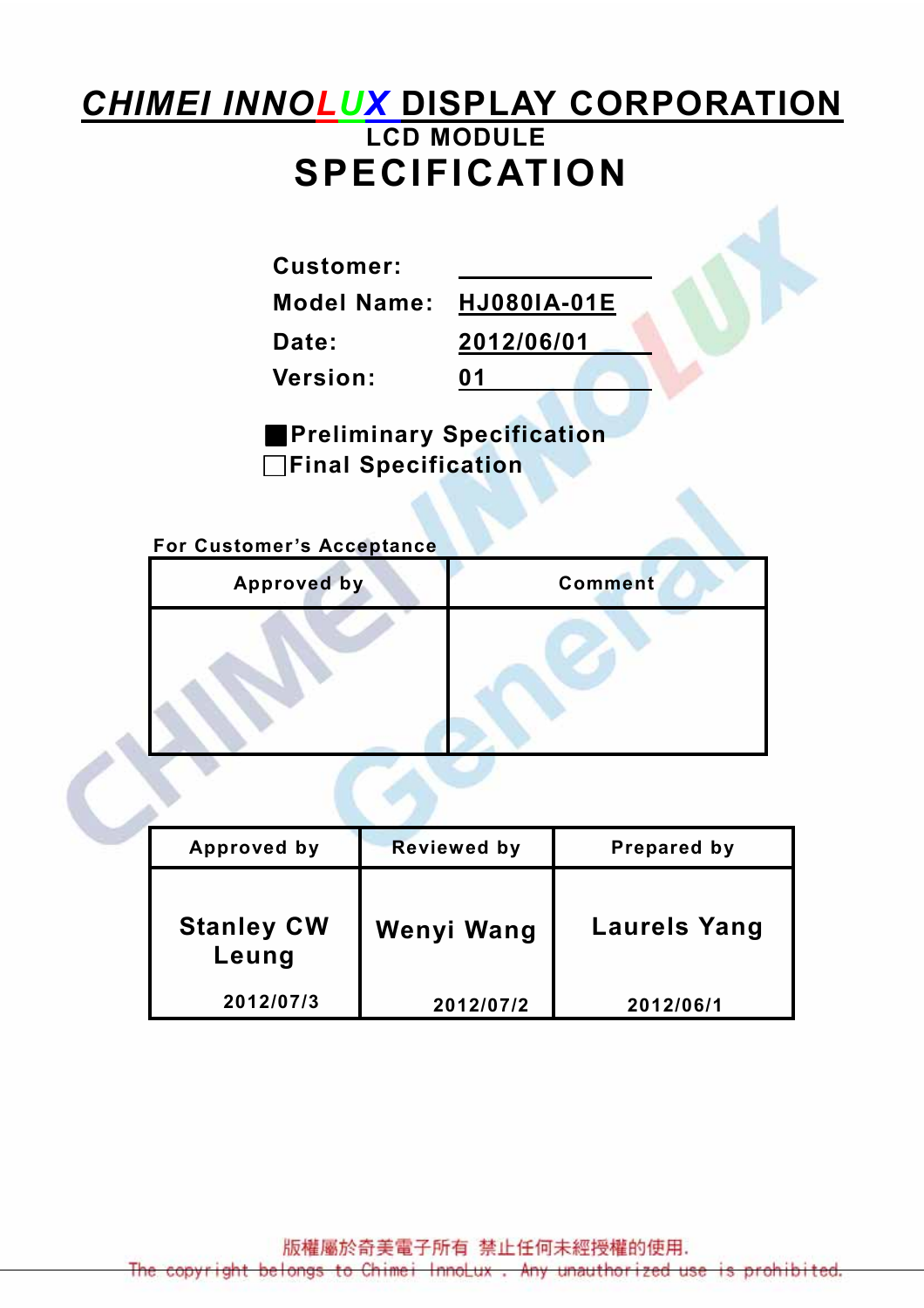# **CHIMEI INNOLUX DISPLAY CORPORATION** LCD MODULE SPECIFICATION

Customer:

Model Name: HJ080IA-01E

Date: 2012/06/01

Version: 01

■Preliminary Specification □Final Specification

For Customer's Acceptance

| <b>Approved by</b> | <b>Comment</b> |
|--------------------|----------------|
|                    |                |

| Approved by                | <b>Reviewed by</b> | Prepared by         |
|----------------------------|--------------------|---------------------|
| <b>Stanley CW</b><br>Leung | Wenyi Wang         | <b>Laurels Yang</b> |
| 2012/07/3                  | 2012/07/2          | 2012/06/1           |

版權屬於奇美電子所有 禁止任何未經授權的使用.

ight belongs to Chimei InnoLux Any unauthorized use is prohibited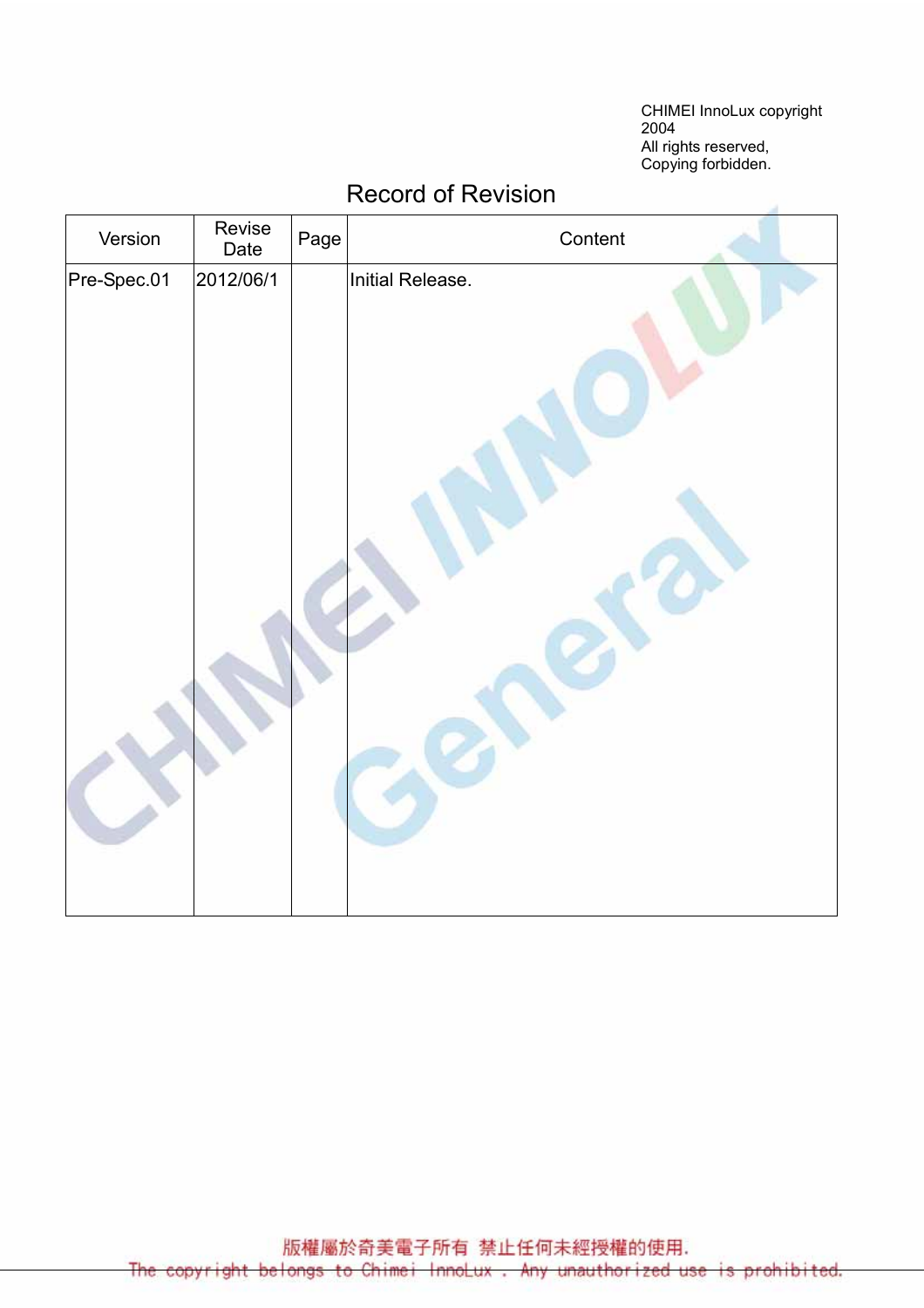CHIMEI InnoLux copyright 2004 All rights reserved, Copying forbidden.

| Version     | Revise<br>Date | Page | Content          |  |  |  |  |
|-------------|----------------|------|------------------|--|--|--|--|
| Pre-Spec.01 | 2012/06/1      |      | Initial Release. |  |  |  |  |
|             |                |      |                  |  |  |  |  |

#### Record of Revision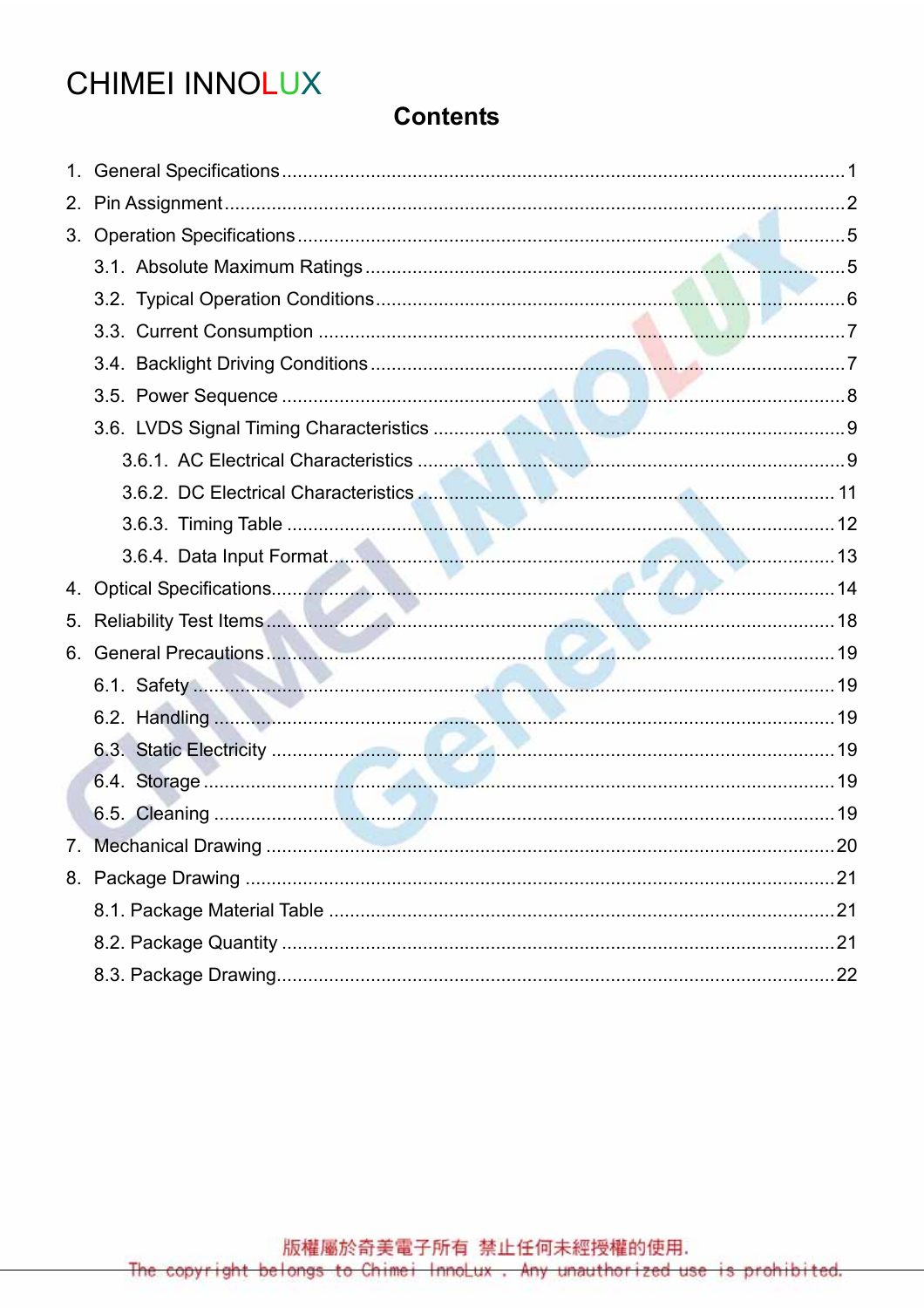# **CHIMEI INNOLUX**

### **Contents**

| 2. |  |
|----|--|
|    |  |
|    |  |
|    |  |
|    |  |
|    |  |
|    |  |
|    |  |
|    |  |
|    |  |
|    |  |
|    |  |
|    |  |
| 5. |  |
| 6. |  |
|    |  |
|    |  |
|    |  |
|    |  |
|    |  |
| 7. |  |
|    |  |
|    |  |
|    |  |
|    |  |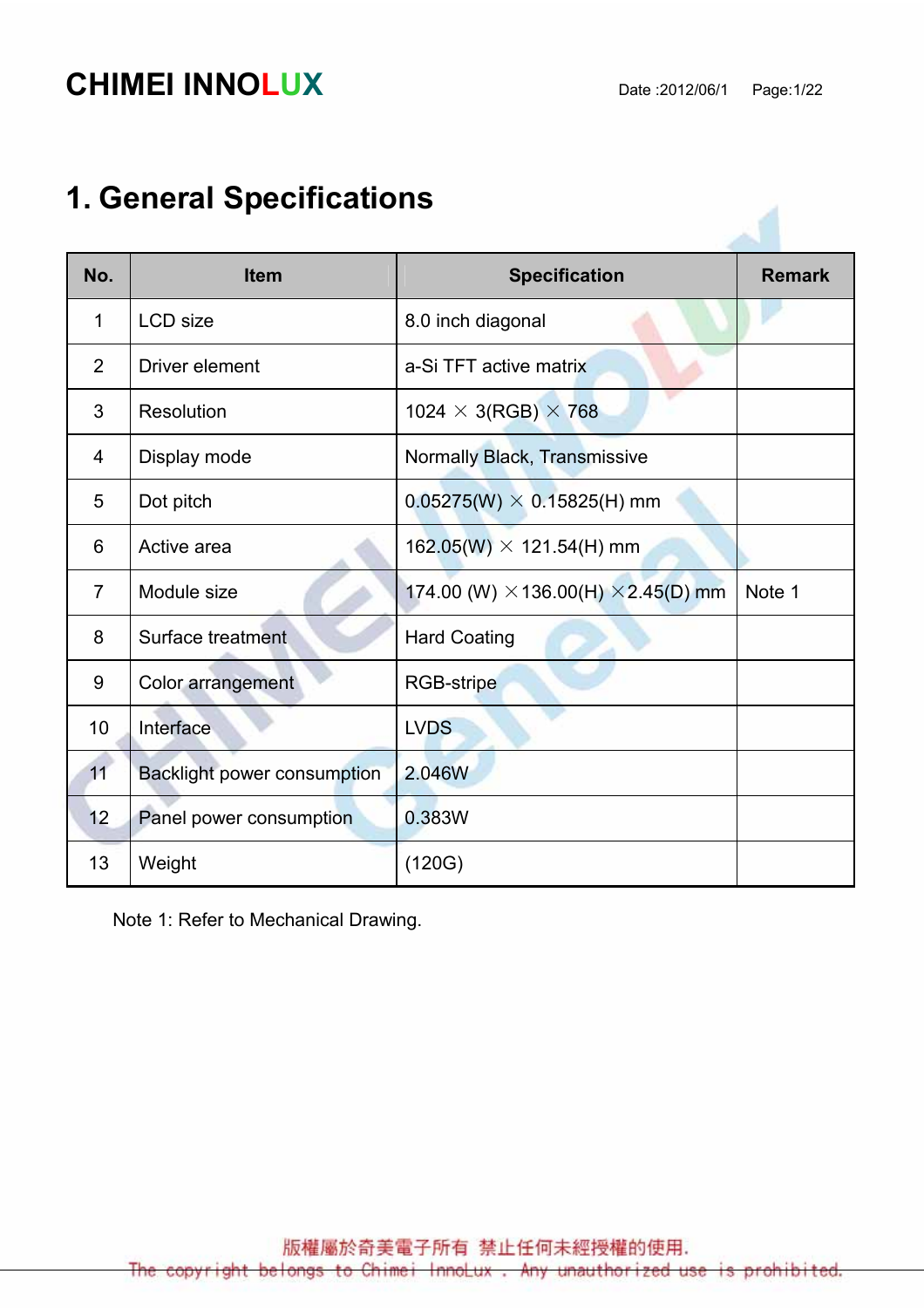# **CHIMEI INNOLUX** Date :2012/06/1 Page:1/22

# 1. General Specifications

| No.            | <b>Item</b>                        | <b>Specification</b>                              | <b>Remark</b> |
|----------------|------------------------------------|---------------------------------------------------|---------------|
| 1              | <b>LCD</b> size                    | 8.0 inch diagonal                                 |               |
| 2              | Driver element                     | a-Si TFT active matrix                            |               |
| 3              | Resolution                         | 1024 $\times$ 3(RGB) $\times$ 768                 |               |
| 4              | Display mode                       | Normally Black, Transmissive                      |               |
| 5              | Dot pitch                          | $0.05275(W) \times 0.15825(H)$ mm                 |               |
| 6              | Active area                        | $162.05(W) \times 121.54(H)$ mm                   |               |
| $\overline{7}$ | Module size                        | 174.00 (W) $\times$ 136.00(H) $\times$ 2.45(D) mm | Note 1        |
| 8              | Surface treatment                  | <b>Hard Coating</b>                               |               |
| 9              | Color arrangement                  | <b>RGB-stripe</b>                                 |               |
| 10             | Interface                          | <b>LVDS</b>                                       |               |
| 11             | <b>Backlight power consumption</b> | 2.046W                                            |               |
| 12             | Panel power consumption            | 0.383W                                            |               |
| 13             | Weight                             | (120G)                                            |               |

Note 1: Refer to Mechanical Drawing.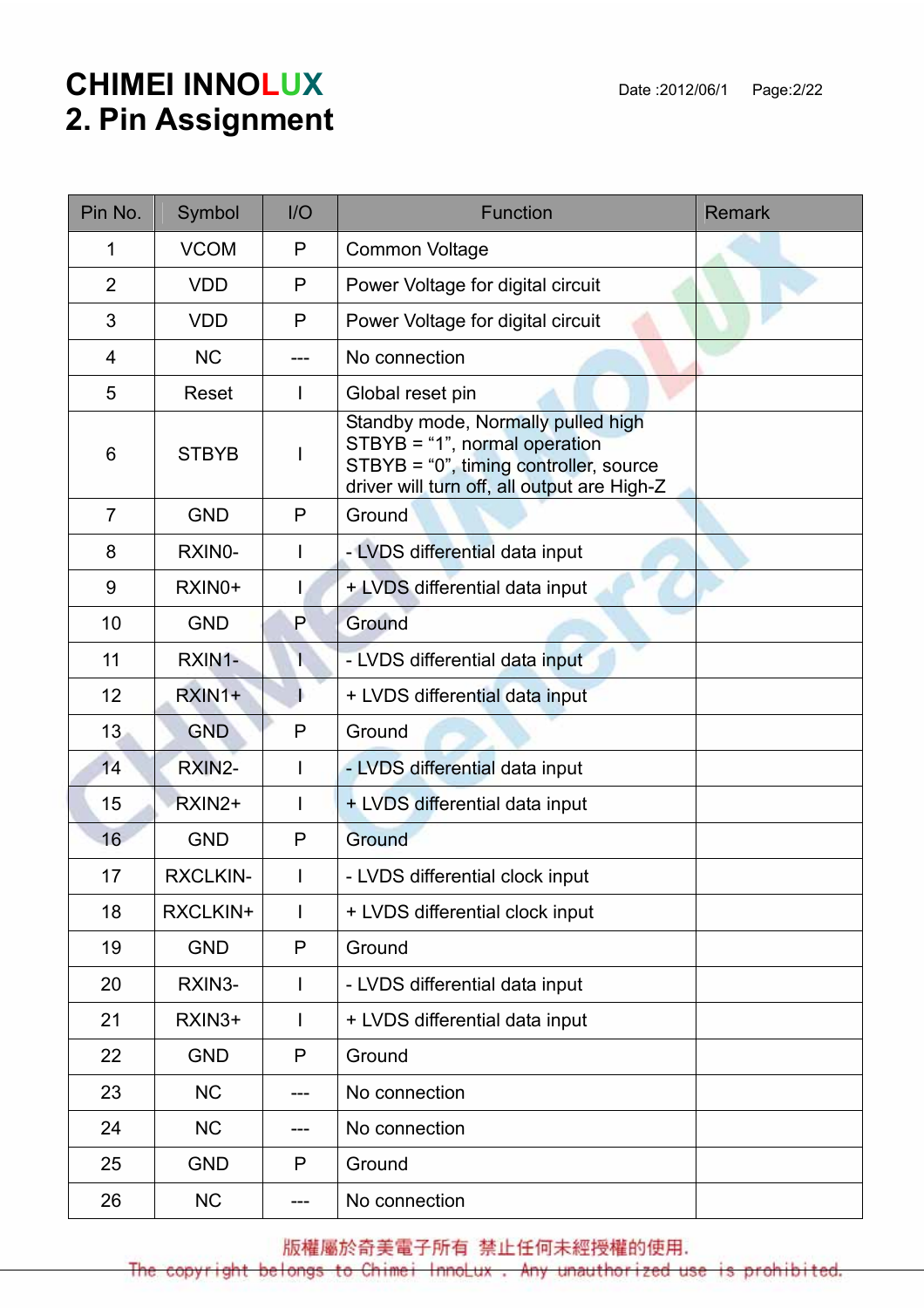# **CHIMEI INNOLUX** Date :2012/06/1 Page:2/22 2. Pin Assignment

| Pin No.        | Symbol          | 1/O | <b>Function</b>                                                                                                                                              | <b>Remark</b> |
|----------------|-----------------|-----|--------------------------------------------------------------------------------------------------------------------------------------------------------------|---------------|
| 1              | <b>VCOM</b>     | P   | <b>Common Voltage</b>                                                                                                                                        |               |
| $\overline{2}$ | <b>VDD</b>      | P   | Power Voltage for digital circuit                                                                                                                            |               |
| 3              | <b>VDD</b>      | P   | Power Voltage for digital circuit                                                                                                                            |               |
| 4              | <b>NC</b>       |     | No connection                                                                                                                                                |               |
| 5              | Reset           |     | Global reset pin                                                                                                                                             |               |
| 6              | <b>STBYB</b>    |     | Standby mode, Normally pulled high<br>STBYB = "1", normal operation<br>STBYB = "0", timing controller, source<br>driver will turn off, all output are High-Z |               |
| $\overline{7}$ | <b>GND</b>      | P   | Ground                                                                                                                                                       |               |
| 8              | RXINO-          |     | - LVDS differential data input                                                                                                                               |               |
| 9              | RXIN0+          |     | + LVDS differential data input                                                                                                                               |               |
| 10             | <b>GND</b>      | P   | Ground                                                                                                                                                       |               |
| 11             | RXIN1-          | ь   | - LVDS differential data input                                                                                                                               |               |
| 12             | RXIN1+          |     | + LVDS differential data input                                                                                                                               |               |
| 13             | <b>GND</b>      | P   | Ground                                                                                                                                                       |               |
| 14             | RXIN2-          |     | - LVDS differential data input                                                                                                                               |               |
| 15             | RXIN2+          |     | + LVDS differential data input                                                                                                                               |               |
| 16             | <b>GND</b>      | P   | Ground                                                                                                                                                       |               |
| 17             | <b>RXCLKIN-</b> |     | - LVDS differential clock input                                                                                                                              |               |
| 18             | RXCLKIN+        | T   | + LVDS differential clock input                                                                                                                              |               |
| 19             | <b>GND</b>      | P   | Ground                                                                                                                                                       |               |
| 20             | RXIN3-          |     | - LVDS differential data input                                                                                                                               |               |
| 21             | RXIN3+          | L   | + LVDS differential data input                                                                                                                               |               |
| 22             | <b>GND</b>      | P   | Ground                                                                                                                                                       |               |
| 23             | <b>NC</b>       | --- | No connection                                                                                                                                                |               |
| 24             | <b>NC</b>       |     | No connection                                                                                                                                                |               |
| 25             | <b>GND</b>      | P   | Ground                                                                                                                                                       |               |
| 26             | <b>NC</b>       | --- | No connection                                                                                                                                                |               |

版權屬於奇美電子所有 禁止任何未經授權的使用.

The copyright belongs to Chimei InnoLux. Any unauthorized use is prohibited.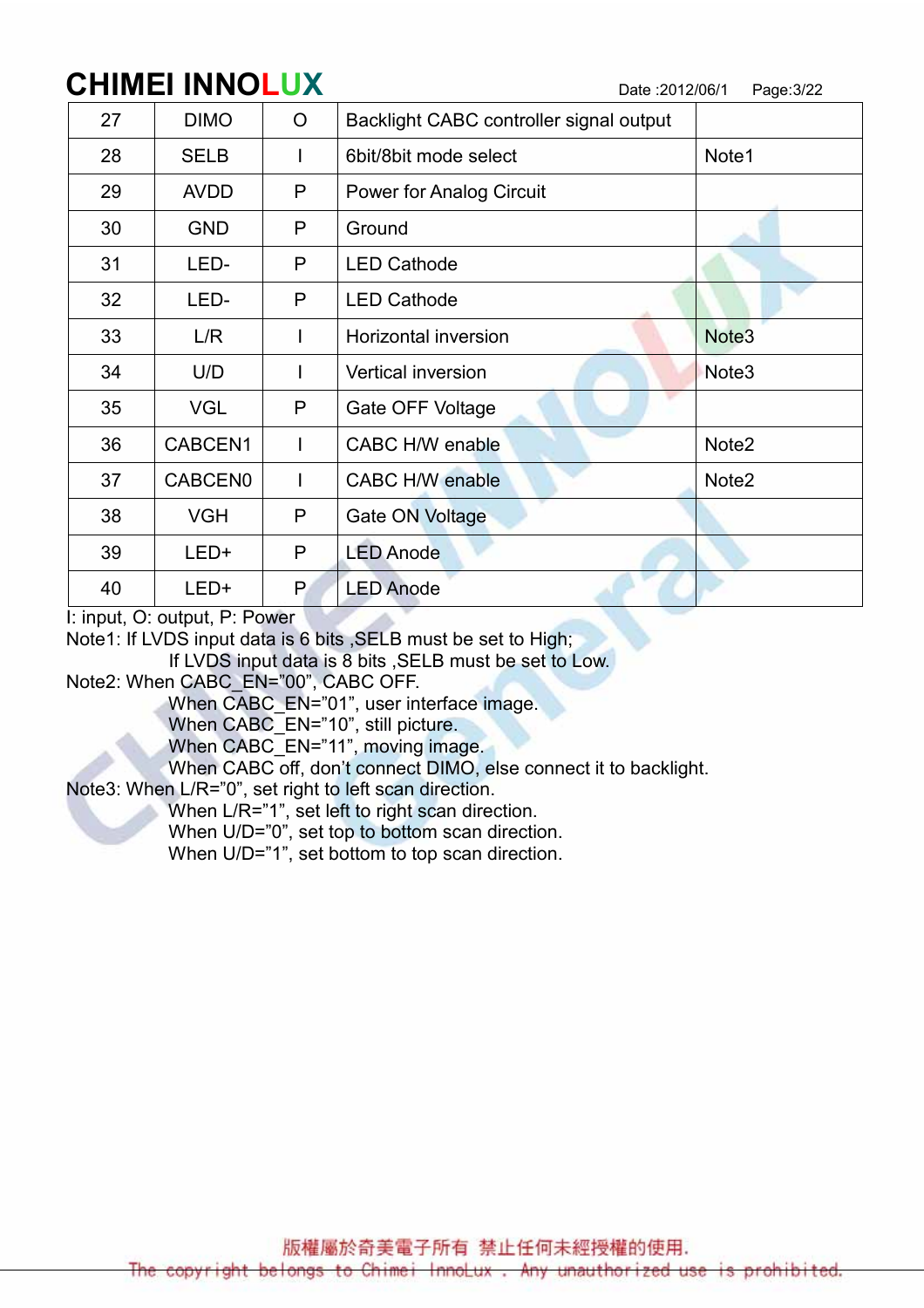# CHIMEI INNOLUX Date :2012/06/1 Page:3/22

| 27 | <b>DIMO</b> | $\overline{O}$ | Backlight CABC controller signal output |                   |
|----|-------------|----------------|-----------------------------------------|-------------------|
| 28 | <b>SELB</b> |                | 6bit/8bit mode select                   | Note1             |
| 29 | <b>AVDD</b> | P              | <b>Power for Analog Circuit</b>         |                   |
| 30 | <b>GND</b>  | P              | Ground                                  |                   |
| 31 | LED-        | P              | <b>LED Cathode</b>                      |                   |
| 32 | LED-        | P              | <b>LED Cathode</b>                      |                   |
| 33 | L/R         |                | Horizontal inversion                    | Note <sub>3</sub> |
| 34 | U/D         |                | <b>Vertical inversion</b>               | Note <sub>3</sub> |
| 35 | <b>VGL</b>  | P              | Gate OFF Voltage                        |                   |
| 36 | CABCEN1     |                | CABC H/W enable                         | Note <sub>2</sub> |
| 37 | CABCEN0     |                | <b>CABC H/W enable</b>                  | Note <sub>2</sub> |
| 38 | <b>VGH</b>  | P              | <b>Gate ON Voltage</b>                  |                   |
| 39 | LED+        | P              | <b>LED Anode</b>                        |                   |
| 40 | LED+        | P.             | <b>LED Anode</b>                        |                   |

I: input, O: output, P: Power

Note1: If LVDS input data is 6 bits ,SELB must be set to High;

If LVDS input data is 8 bits ,SELB must be set to Low.

Note2: When CABC\_EN="00", CABC OFF.

When CABC EN="01", user interface image.

When CABC<sup>-</sup>EN="10", still picture.

When CABC<sup>L</sup>EN="11", moving image.

When CABC off, don't connect DIMO, else connect it to backlight.

Note3: When L/R="0", set right to left scan direction.

When L/R="1", set left to right scan direction.

When U/D="0", set top to bottom scan direction.

When U/D="1", set bottom to top scan direction.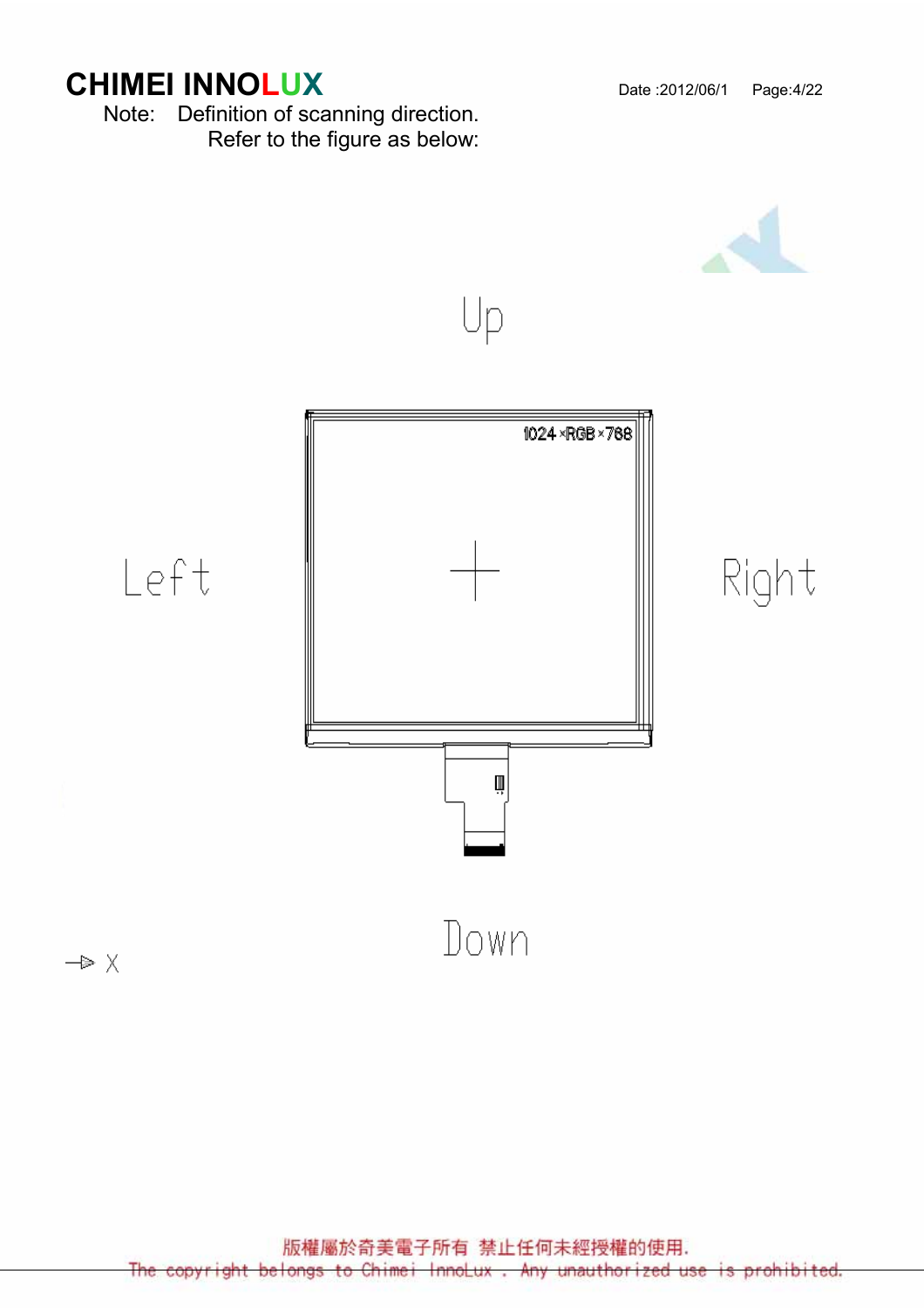# **CHIMEI INNOLUX** Date :2012/06/1 Page:4/22

Note: Definition of scanning direction. Refer to the figure as below:

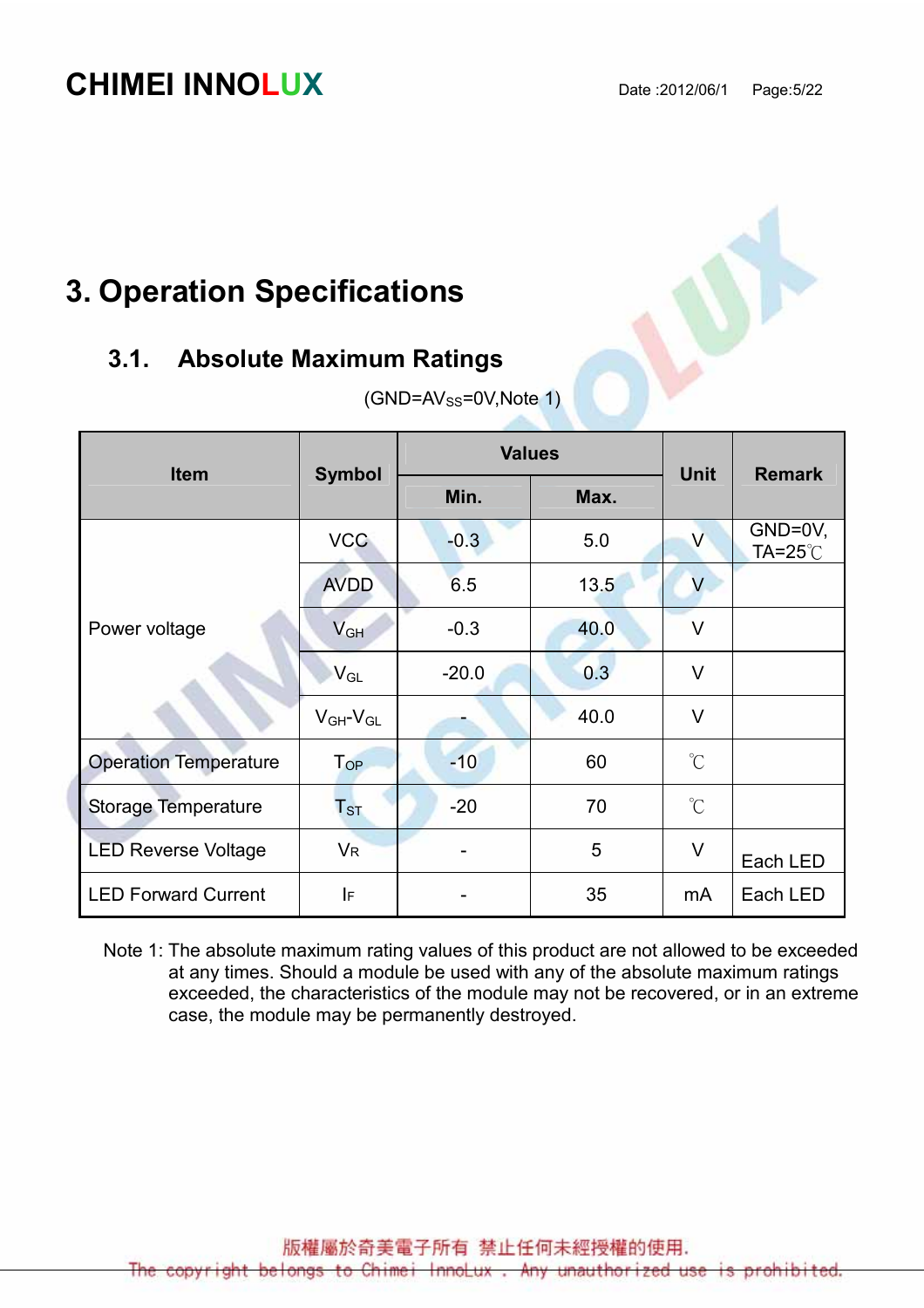# **CHIMEI INNOLUX** Date :2012/06/1 Page:5/22

# 3. Operation Specifications

#### 3.1. Absolute Maximum Ratings

| <b>Item</b>                  | <b>Symbol</b>              |              | <b>Values</b> | <b>Unit</b>          | <b>Remark</b>                       |
|------------------------------|----------------------------|--------------|---------------|----------------------|-------------------------------------|
|                              |                            | Min.<br>Max. |               |                      |                                     |
|                              | <b>VCC</b>                 | $-0.3$       | 5.0           | $\vee$               | GND=0V,<br>$TA = 25^\circ \text{C}$ |
| Power voltage                | <b>AVDD</b>                | 6.5          | 13.5          | V                    |                                     |
|                              | V <sub>GH</sub>            | $-0.3$       | 40.0          | V                    |                                     |
|                              | $\mathsf{V}_{\mathsf{GL}}$ | $-20.0$      | 0.3           | V                    |                                     |
|                              | $V_{GH}$ - $V_{GL}$        |              | 40.0          | $\vee$               |                                     |
| <b>Operation Temperature</b> | $T_{OP}$                   | $-10$        | 60            | $\mathrm{C}^{\circ}$ |                                     |
| <b>Storage Temperature</b>   | ${\sf T}_{\sf ST}$         | $-20$        | 70            | $\mathrm{C}^{\circ}$ |                                     |
| <b>LED Reverse Voltage</b>   | $V_{R}$                    |              | 5             | $\vee$               | Each LED                            |
| <b>LED Forward Current</b>   | I۴                         |              | 35            | mA                   | Each LED                            |

 $(GND=AV_{SS}=0V,Note 1)$ 

Note 1: The absolute maximum rating values of this product are not allowed to be exceeded at any times. Should a module be used with any of the absolute maximum ratings exceeded, the characteristics of the module may not be recovered, or in an extreme case, the module may be permanently destroyed.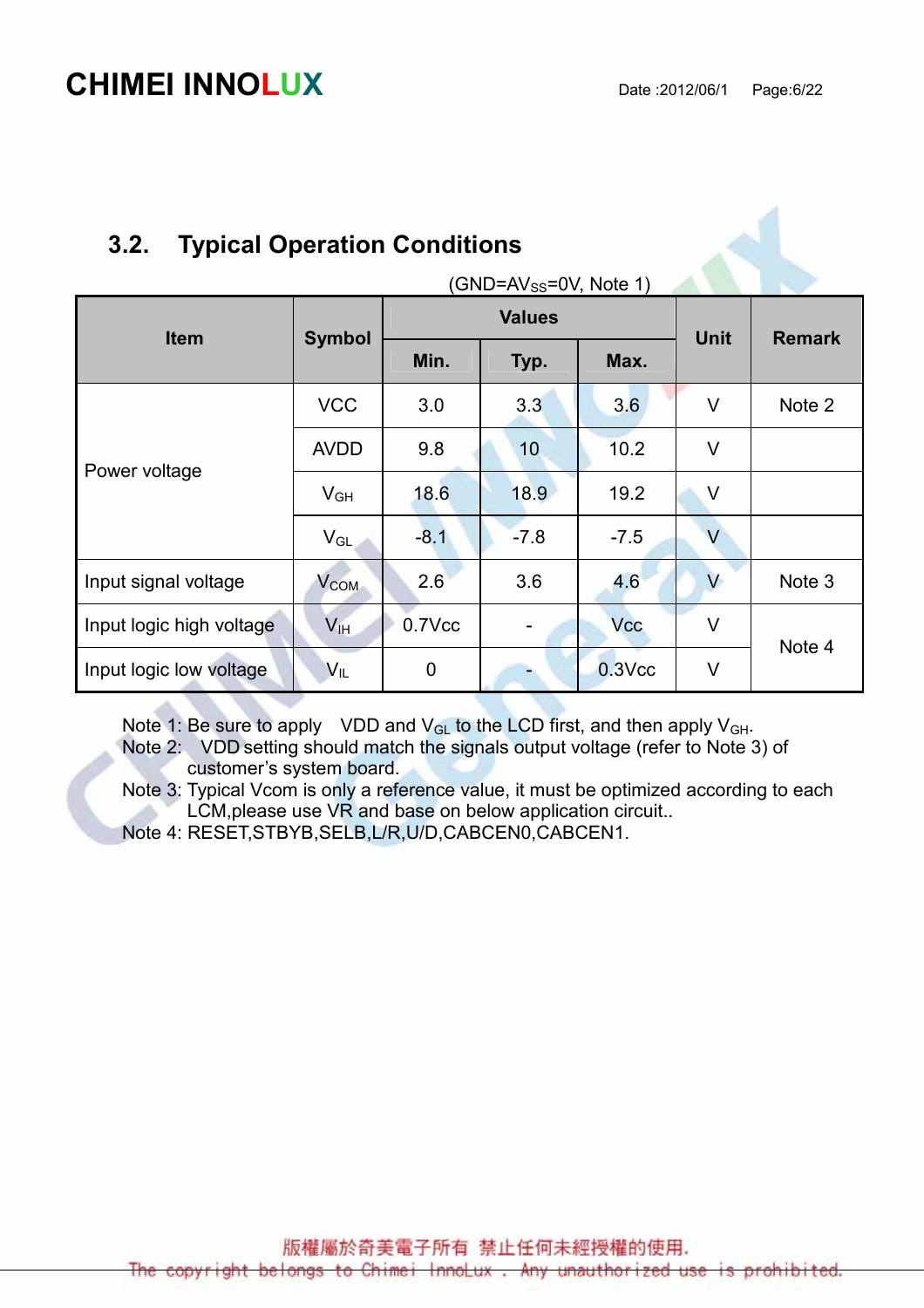## 3.2. Typical Operation Conditions

| $(GND=AV_{SS}=0V, Note 1)$ |                 |             |               |             |               |        |  |  |
|----------------------------|-----------------|-------------|---------------|-------------|---------------|--------|--|--|
| <b>Item</b>                | <b>Symbol</b>   |             | <b>Values</b> | <b>Unit</b> | <b>Remark</b> |        |  |  |
|                            |                 | Min.        | Typ.          | Max.        |               |        |  |  |
|                            | <b>VCC</b>      | 3.0         | 3.3           | 3.6         | $\vee$        | Note 2 |  |  |
| Power voltage              | <b>AVDD</b>     | 9.8         | 10            | 10.2        | $\vee$        |        |  |  |
|                            | $V_{GH}$        | 18.6        | 18.9          | 19.2        | $\vee$        |        |  |  |
|                            | $V_{GL}$        | $-8.1$      | $-7.8$        | $-7.5$      | $\vee$        |        |  |  |
| Input signal voltage       | $V_{COM}$       | 2.6         | 3.6           | 4.6         | V             | Note 3 |  |  |
| Input logic high voltage   | V <sub>IH</sub> | 0.7Vcc      |               | <b>Vcc</b>  | $\vee$        | Note 4 |  |  |
| Input logic low voltage    | $V_{IL}$        | $\mathbf 0$ |               | $0.3$ Vcc   | $\vee$        |        |  |  |

Note 1: Be sure to apply VDD and  $V_{GL}$  to the LCD first, and then apply  $V_{GH}$ .

Note 2: VDD setting should match the signals output voltage (refer to Note 3) of customer's system board.

Note 3: Typical Vcom is only a reference value, it must be optimized according to each LCM,please use VR and base on below application circuit..

Note 4: RESET,STBYB,SELB,L/R,U/D,CABCEN0,CABCEN1.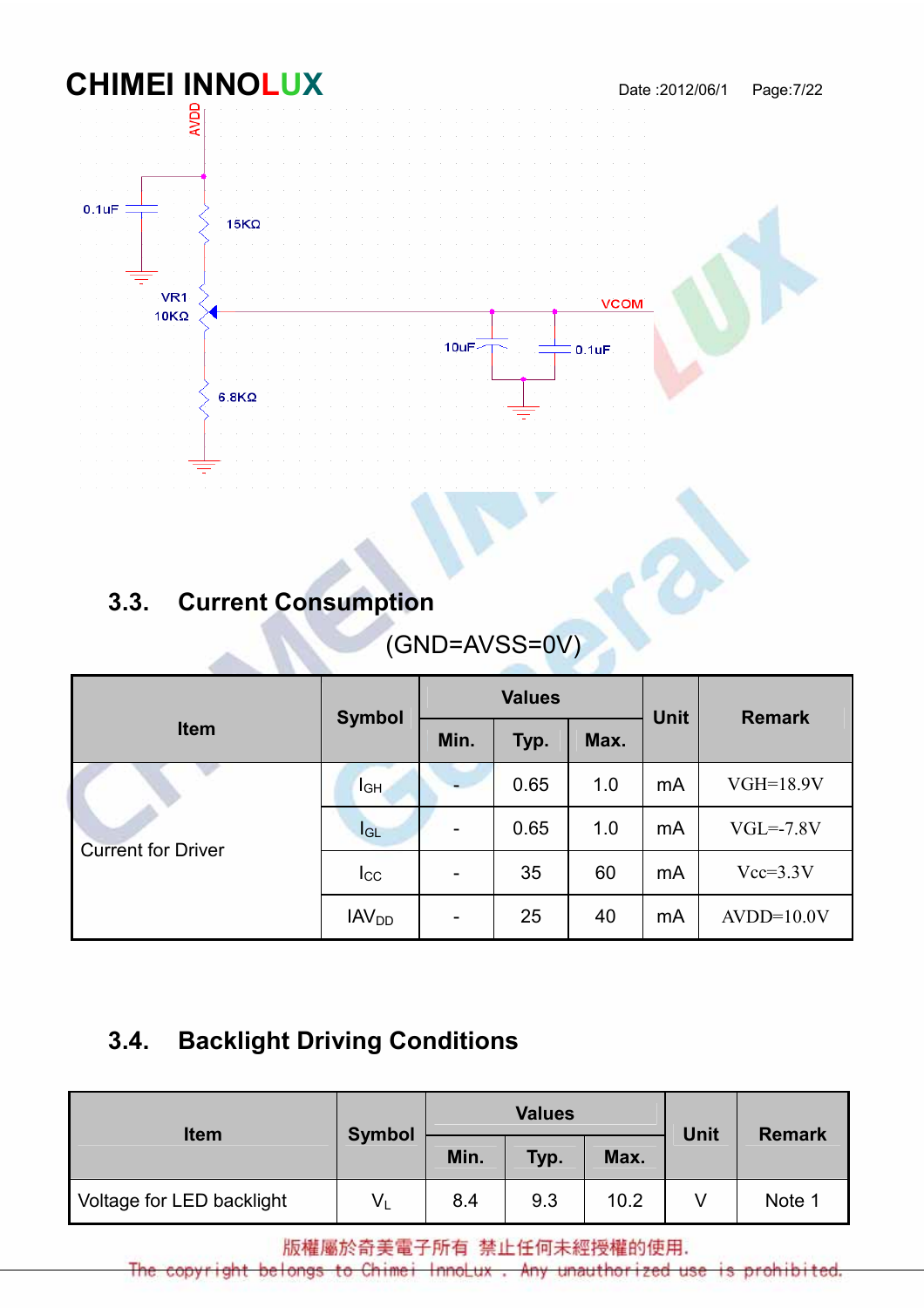

# 3.3. Current Consumption

# (GND=AVSS=0V)

|                           | <b>Symbol</b>           |                          | <b>Values</b> |      | <b>Unit</b> | <b>Remark</b> |  |
|---------------------------|-------------------------|--------------------------|---------------|------|-------------|---------------|--|
| <b>Item</b>               |                         | Min.                     | Typ.          | Max. |             |               |  |
| <b>Current for Driver</b> | $I_{GH}$                |                          | 0.65          | 1.0  | mA          | $VGH=18.9V$   |  |
|                           | $I_{GL}$                | $\overline{\phantom{a}}$ | 0.65          | 1.0  | mA          | $VGL=-7.8V$   |  |
|                           | $I_{\rm CC}$            | $\overline{\phantom{a}}$ | 35            | 60   | mA          | $Vcc=3.3V$    |  |
|                           | <b>IAV<sub>DD</sub></b> | $\overline{\phantom{a}}$ | 25            | 40   | mA          | $AVDD=10.0V$  |  |

## 3.4. Backlight Driving Conditions

| <b>Item</b>               |               |      | <b>Values</b> | <b>Unit</b> | <b>Remark</b> |        |
|---------------------------|---------------|------|---------------|-------------|---------------|--------|
|                           | <b>Symbol</b> | Min. | Typ.          | Max.        |               |        |
| Voltage for LED backlight | $V_L$         | 8.4  | 9.3           | 10.2        |               | Note 1 |

版權屬於奇美電子所有 禁止任何未經授權的使用.

The copyright belongs to Chimei InnoLux unauthorized Any use prohib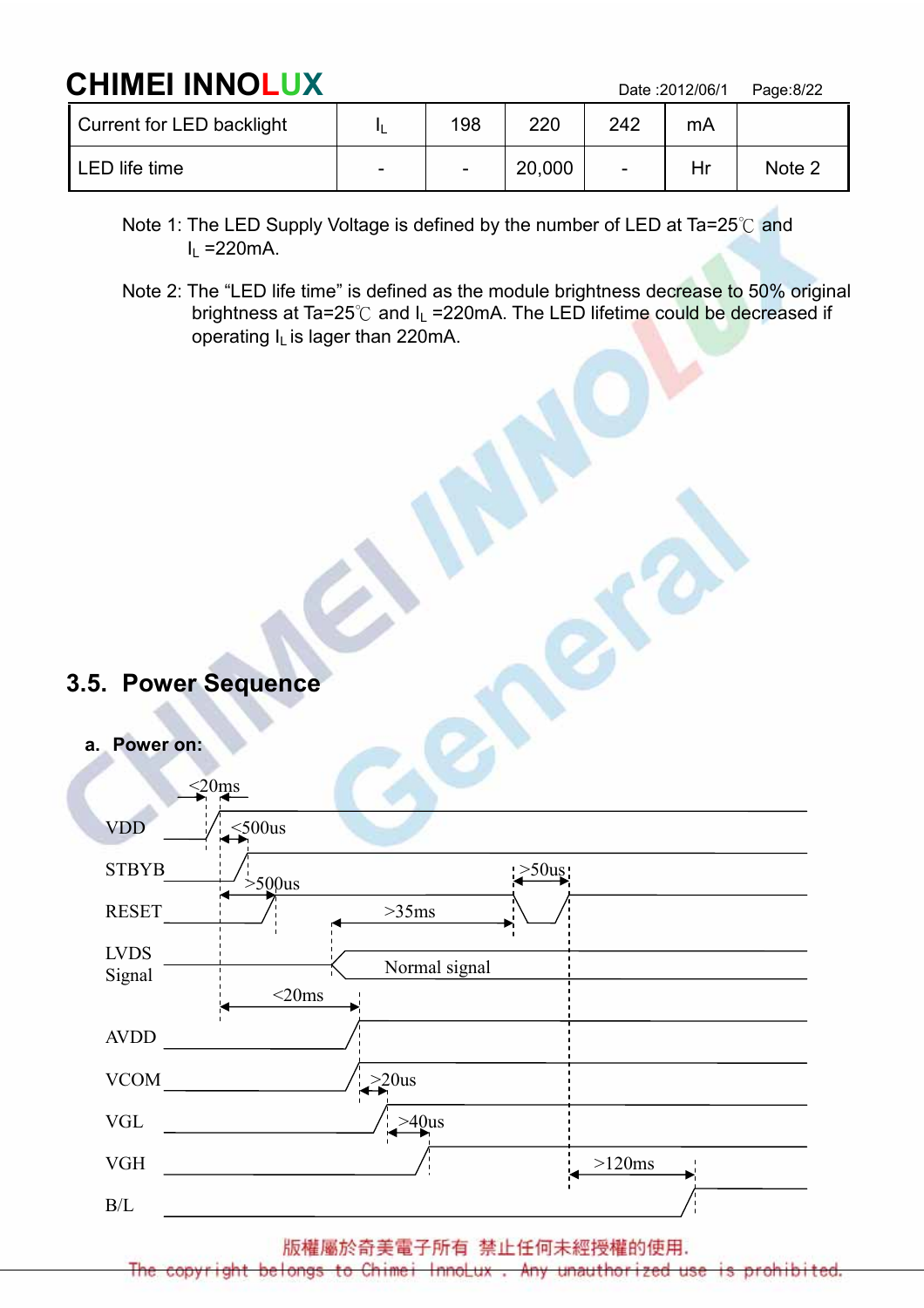# CHIMEI INNOLUX Date :2012/06/1 Page:8/22

| Current for LED backlight |                          | 198 | 220    | 242                      | mA |        |
|---------------------------|--------------------------|-----|--------|--------------------------|----|--------|
| LED life time             | $\overline{\phantom{0}}$ |     | 20,000 | $\overline{\phantom{a}}$ |    | Note 2 |

- Note 1: The LED Supply Voltage is defined by the number of LED at Ta=25℃ and  $I<sub>L</sub>$  =220mA.
- Note 2: The "LED life time" is defined as the module brightness decrease to 50% original brightness at Ta=25℃ and I<sub>L</sub> =220mA. The LED lifetime could be decreased if operating IL is lager than 220mA.

- 3.5. Power Sequence
	- a. Power on:

| $\leq$ 20 $\text{ms}$ |                           |
|-----------------------|---------------------------|
| <b>VDD</b>            | $<$ 500us                 |
| <b>STBYB</b>          | $\geq 50$ uş<br>$>500$ us |
| <b>RESET</b>          | >35ms                     |
| <b>LVDS</b>           |                           |
| Signal                | Normal signal             |
|                       | $<$ 20ms                  |
| <b>AVDD</b>           |                           |
| <b>VCOM</b>           | $>20us$                   |
| <b>VGL</b>            | $>40$ us                  |
| <b>VGH</b>            | >120ms                    |
| B/L                   |                           |

版權屬於奇美電子所有 禁止任何未經授權的使用.

to Chimei InnoLux Any unauthorized belongs **US6**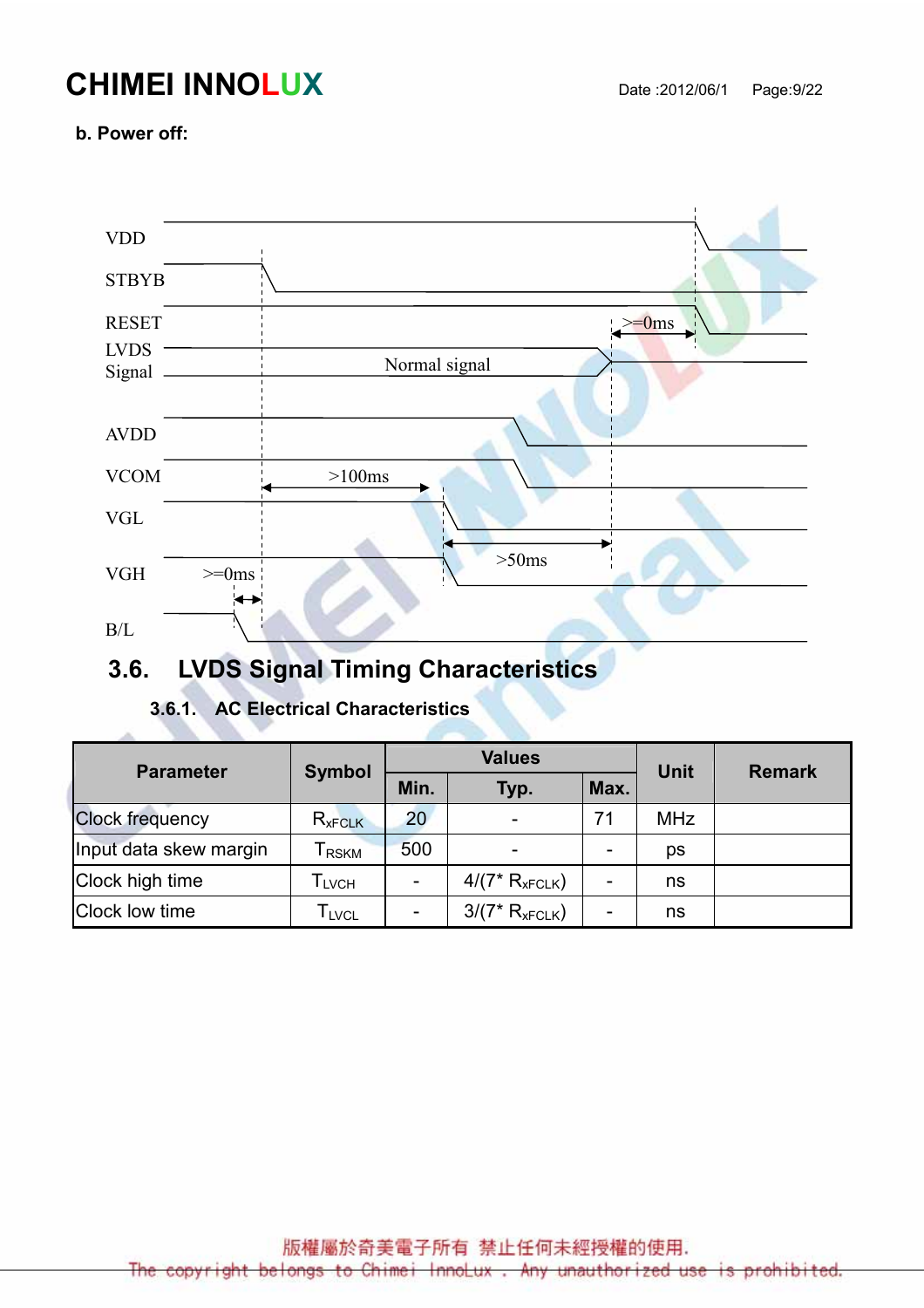# **CHIMEI INNOLUX** Date :2012/06/1 Page:9/22

#### b. Power off:

| <b>VDD</b>                  |                                                |
|-----------------------------|------------------------------------------------|
| <b>STBYB</b>                |                                                |
| <b>RESET</b><br><b>LVDS</b> | $\geq$ =0ms                                    |
| Signal                      | Normal signal                                  |
| <b>AVDD</b>                 |                                                |
| <b>VCOM</b>                 | $>100ms$                                       |
| <b>VGL</b>                  |                                                |
| ${\rm VGH}$                 | $>\!\!50\mathrm{ms}$<br>$>=$ 0ms $\frac{1}{2}$ |
| $\rm B/L$                   |                                                |

## 3.6. LVDS Signal Timing Characteristics

#### 3.6.1. AC Electrical Characteristics

| <b>Parameter</b>       | <b>Symbol</b>                | <b>Values</b>            |                          |      | Unit       | <b>Remark</b> |  |
|------------------------|------------------------------|--------------------------|--------------------------|------|------------|---------------|--|
|                        |                              | Min.                     | Typ.                     | Max. |            |               |  |
| <b>Clock frequency</b> | $R_{xFCLK}$                  | 20                       | $\overline{\phantom{a}}$ | 71   | <b>MHz</b> |               |  |
| Input data skew margin | <b>RSKM</b>                  | 500                      | $\overline{\phantom{0}}$ | -    | ps         |               |  |
| Clock high time        | I LVCH                       | $\overline{\phantom{a}}$ | $4/(7* R_{xFCLK})$       |      | ns         |               |  |
| Clock low time         | $\mathsf{T}_{\mathsf{LVCL}}$ | $\overline{\phantom{0}}$ | $3/(7*R_{xFCLK})$        |      | ns         |               |  |

版權屬於奇美電子所有 禁止任何未經授權的使用.

The copyright belongs to Chimei InnoLux. Any unauthorized use is prohibited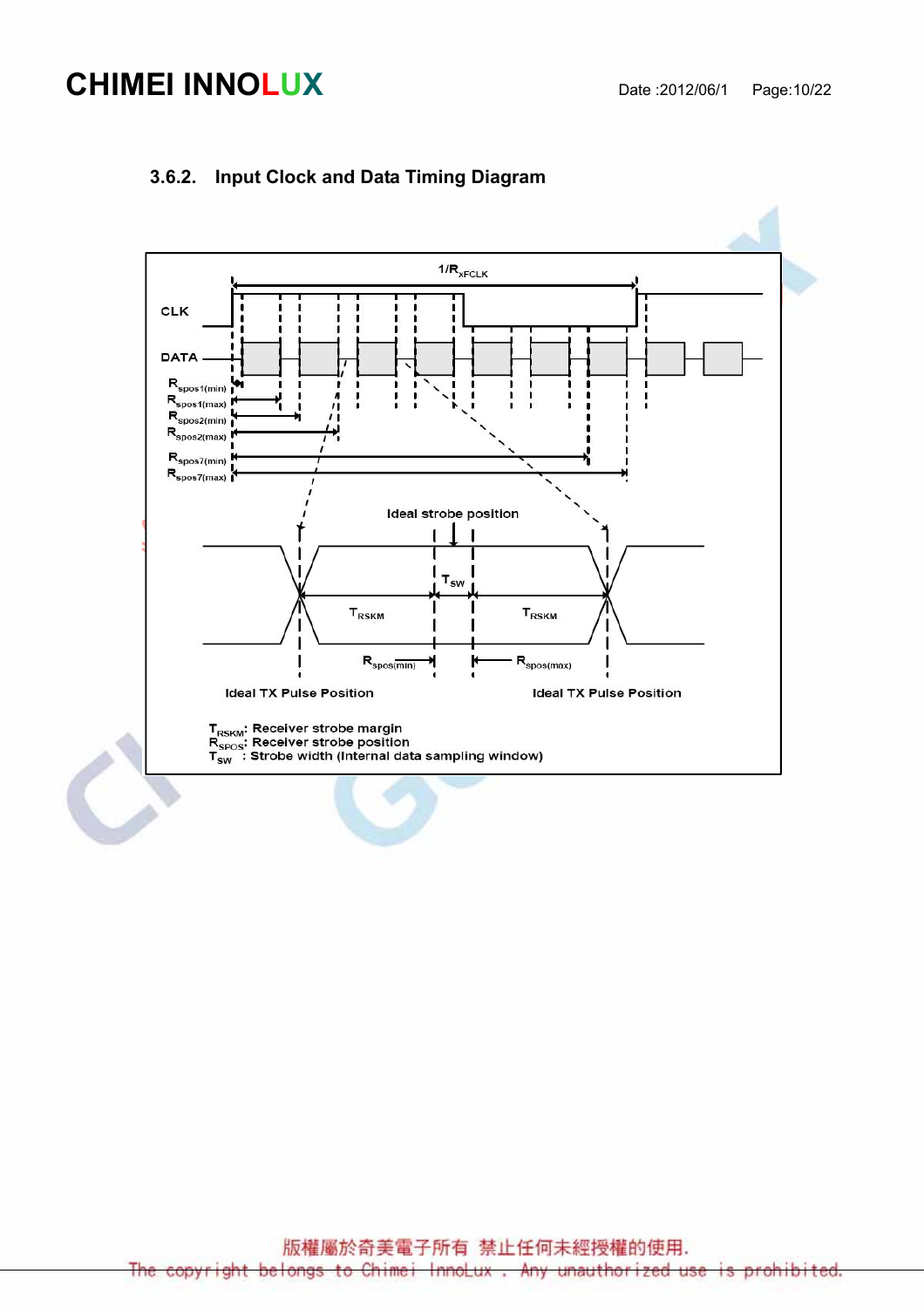# **CHIMEI INNOLUX** Date :2012/06/1 Page:10/22



#### 3.6.2. Input Clock and Data Timing Diagram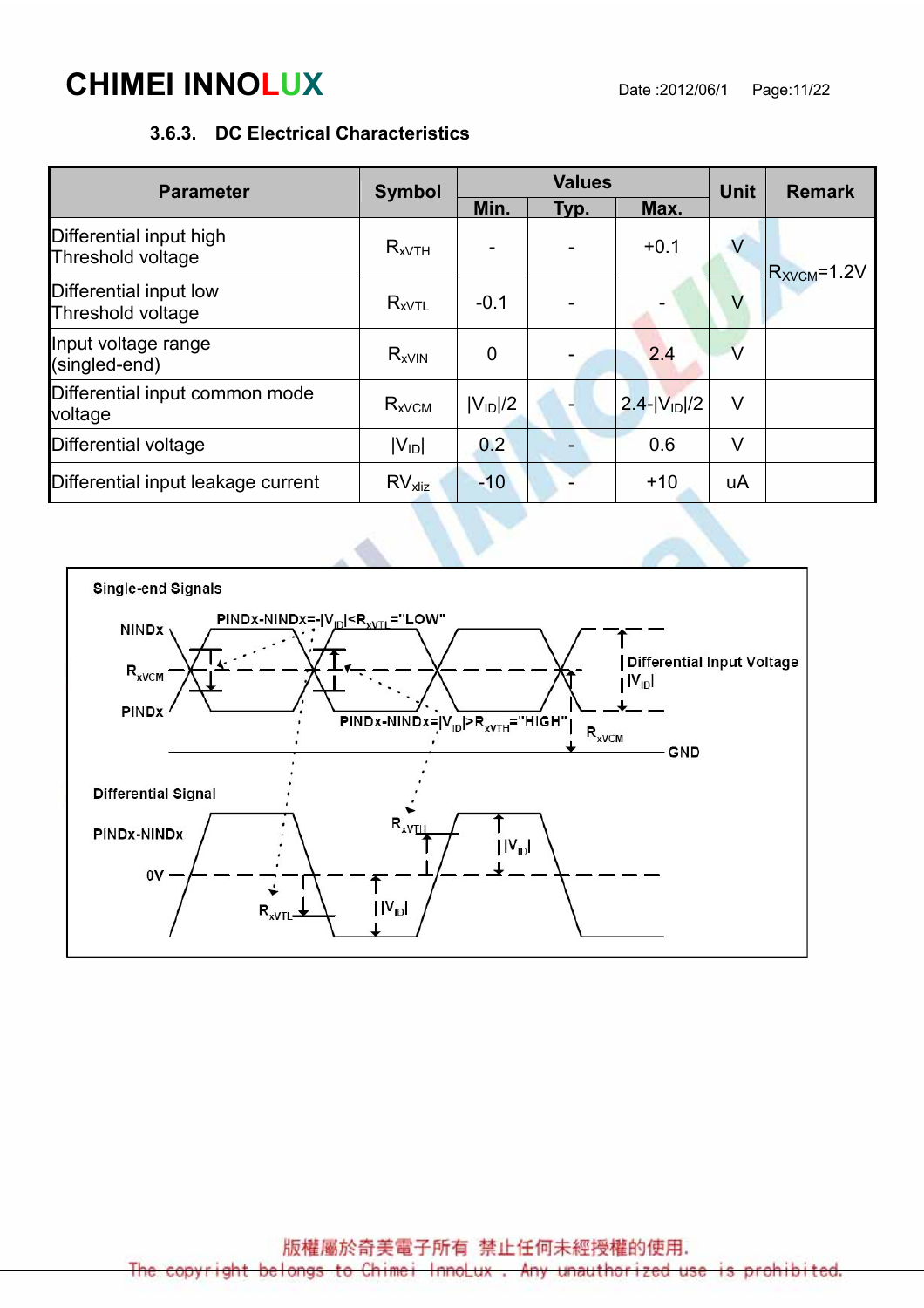# **CHIMEI INNOLUX** Date :2012/06/1 Page:11/22

#### 3.6.3. DC Electrical Characteristics

| <b>Parameter</b>                             | <b>Symbol</b>         |                | <b>Values</b> | Unit               | <b>Remark</b> |                   |
|----------------------------------------------|-----------------------|----------------|---------------|--------------------|---------------|-------------------|
|                                              |                       | Min.           | Max.<br>Typ.  |                    |               |                   |
| Differential input high<br>Threshold voltage | $R_{xVTH}$            |                |               | $+0.1$             | $\vee$        | $R_{XVCM} = 1.2V$ |
| Differential input low<br>Threshold voltage  | $R_{xVTL}$            | $-0.1$         |               |                    | V             |                   |
| Input voltage range<br>(singled-end)         | $R_{xV}$ <sub>N</sub> | $\overline{0}$ |               | 2.4                | $\vee$        |                   |
| Differential input common mode<br>voltage    | $R_{xVCM}$            | $ V_{ID} /2$   |               | $2.4 -  V_{1D} /2$ | $\vee$        |                   |
| Differential voltage                         | $ V_{ID} $            | 0.2            |               | 0.6                | V             |                   |
| Differential input leakage current           | $RVx$ <sub>kliz</sub> | $-10$          |               | $+10$              | uA            |                   |

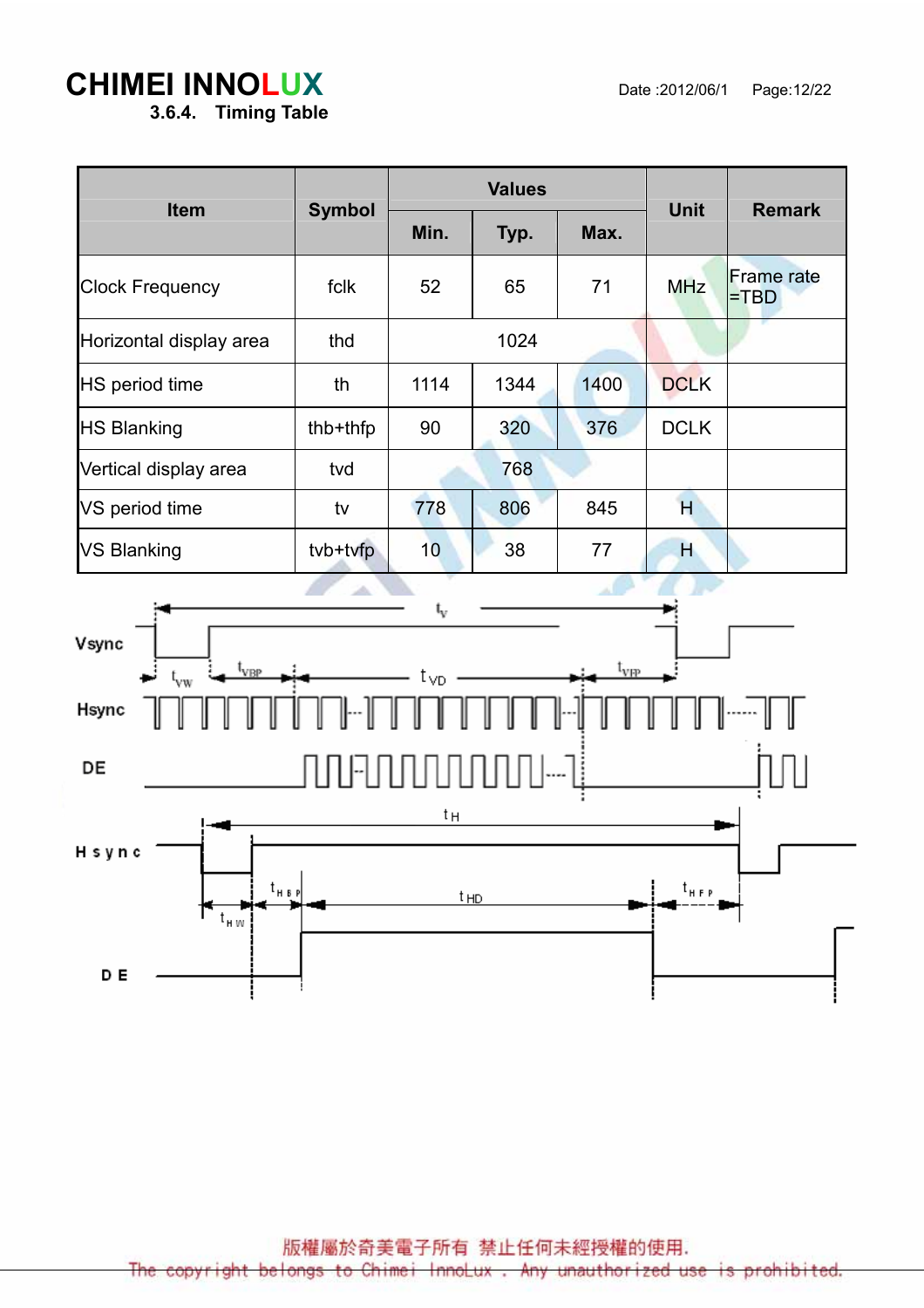## **CHIMEI INNOLUX** Date :2012/06/1 Page:12/22

3.6.4. Timing Table

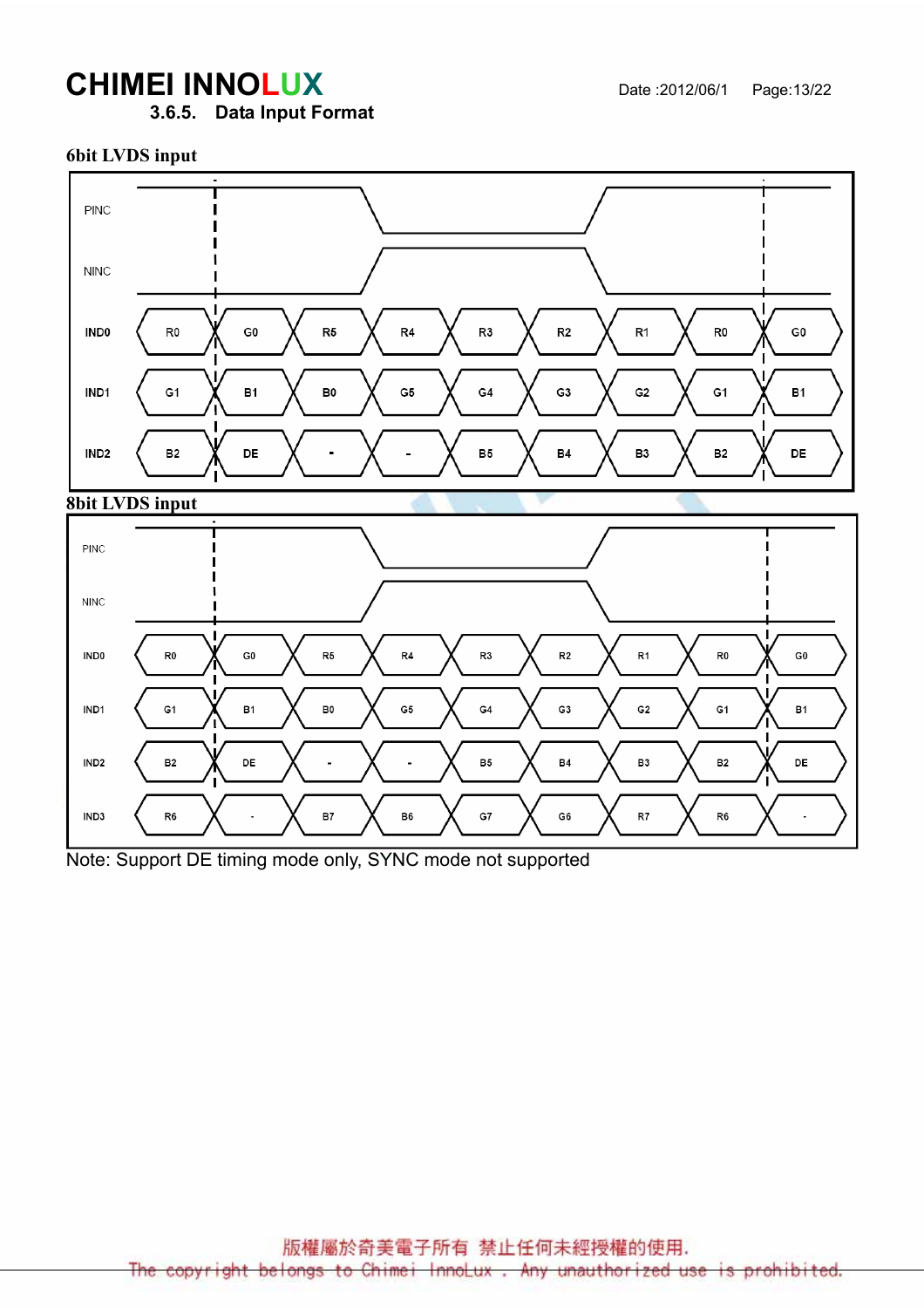# **CHIMEI INNOLUX** Date :2012/06/1 Page:13/22

3.6.5. Data Input Format

#### 6bit LVDS input





Note: Support DE timing mode only, SYNC mode not supported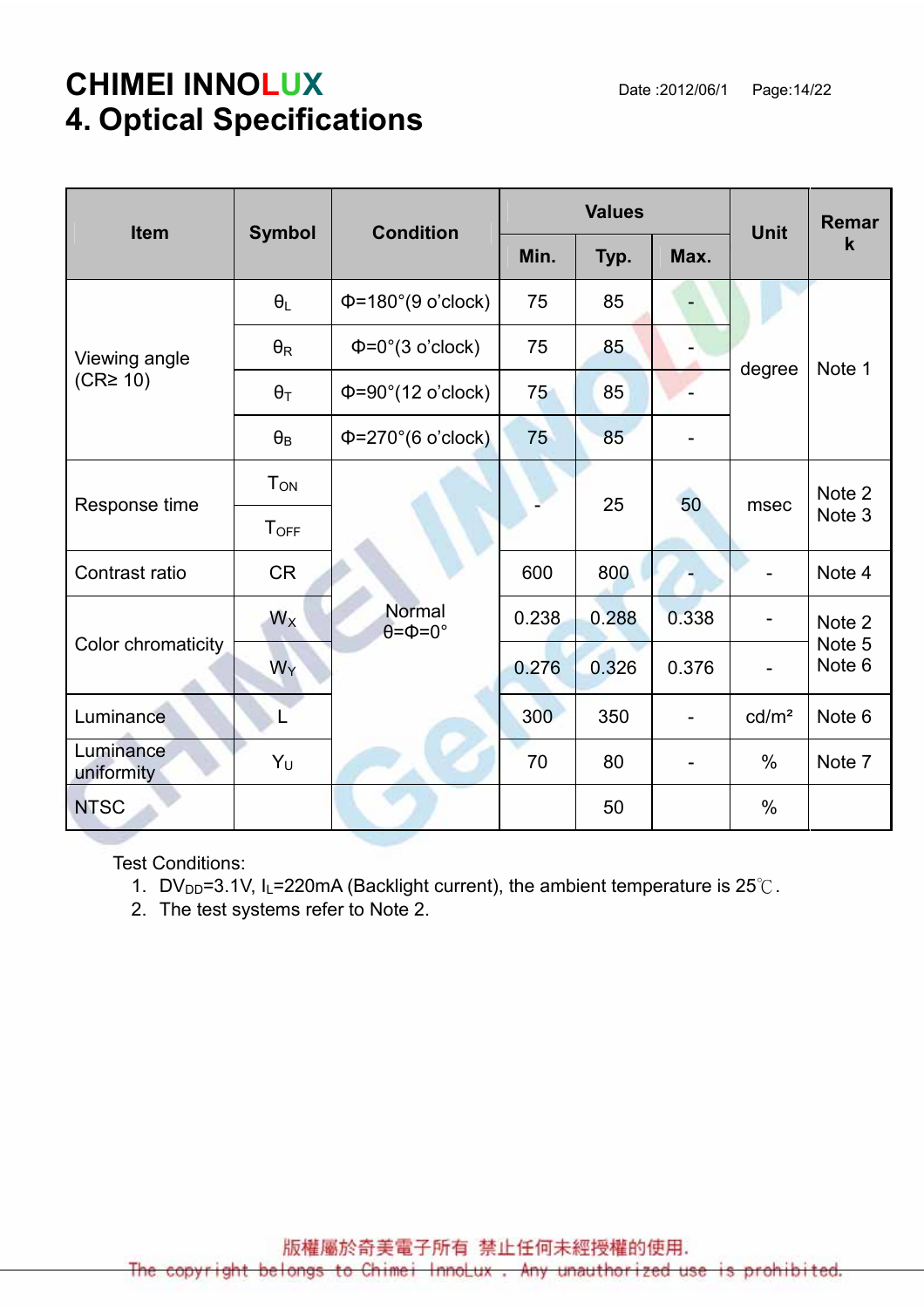# **CHIMEI INNOLUX** Date :2012/06/1 Page:14/22 4. Optical Specifications

| Item                    |                        | <b>Condition</b><br><b>Symbol</b>      |       | <b>Values</b> | <b>Unit</b> | Remar             |                                       |
|-------------------------|------------------------|----------------------------------------|-------|---------------|-------------|-------------------|---------------------------------------|
|                         |                        |                                        | Min.  | Typ.          | Max.        |                   | $\mathbf k$                           |
|                         | $\theta_L$             | $\Phi$ =180°(9 o'clock)                | 75    | 85            |             |                   | Note 1                                |
| Viewing angle           | $\theta_{\mathsf{R}}$  | $\Phi = 0^\circ (3 \text{ o'clock})$   | 75    | 85            |             | degree            |                                       |
| (CR <sup>2</sup> 10)    | $\theta_T$             | $\Phi = 90^\circ (12 \text{ o'clock})$ | 75    | 85            |             |                   |                                       |
|                         | $\theta_{\mathsf{B}}$  | $\Phi = 270^{\circ}$ (6 o'clock)       | 75    | 85            |             |                   |                                       |
|                         | <b>T</b> <sub>ON</sub> |                                        |       | 25            | 50          | msec              | Note 2<br>Note 3                      |
| Response time           | <b>TOFF</b>            |                                        |       |               |             |                   |                                       |
| Contrast ratio          | <b>CR</b>              |                                        | 600   | 800           |             |                   | Note 4                                |
| Color chromaticity      | $W_X$                  | Normal<br>$\theta = \Phi = 0^{\circ}$  | 0.238 | 0.288         | 0.338       |                   | Note 2<br>Note 5<br>Note <sub>6</sub> |
|                         | $W_Y$                  |                                        | 0.276 | 0.326         | 0.376       |                   |                                       |
| Luminance               | L                      |                                        | 300   | 350           |             | cd/m <sup>2</sup> | Note 6                                |
| Luminance<br>uniformity | $Y_U$                  |                                        | 70    | 80            |             | $\%$              | Note 7                                |
| <b>NTSC</b>             |                        |                                        |       | 50            |             | $\%$              |                                       |

Test Conditions:

1. DV<sub>DD</sub>=3.1V, I<sub>L</sub>=220mA (Backlight current), the ambient temperature is 25°C.

2. The test systems refer to Note 2.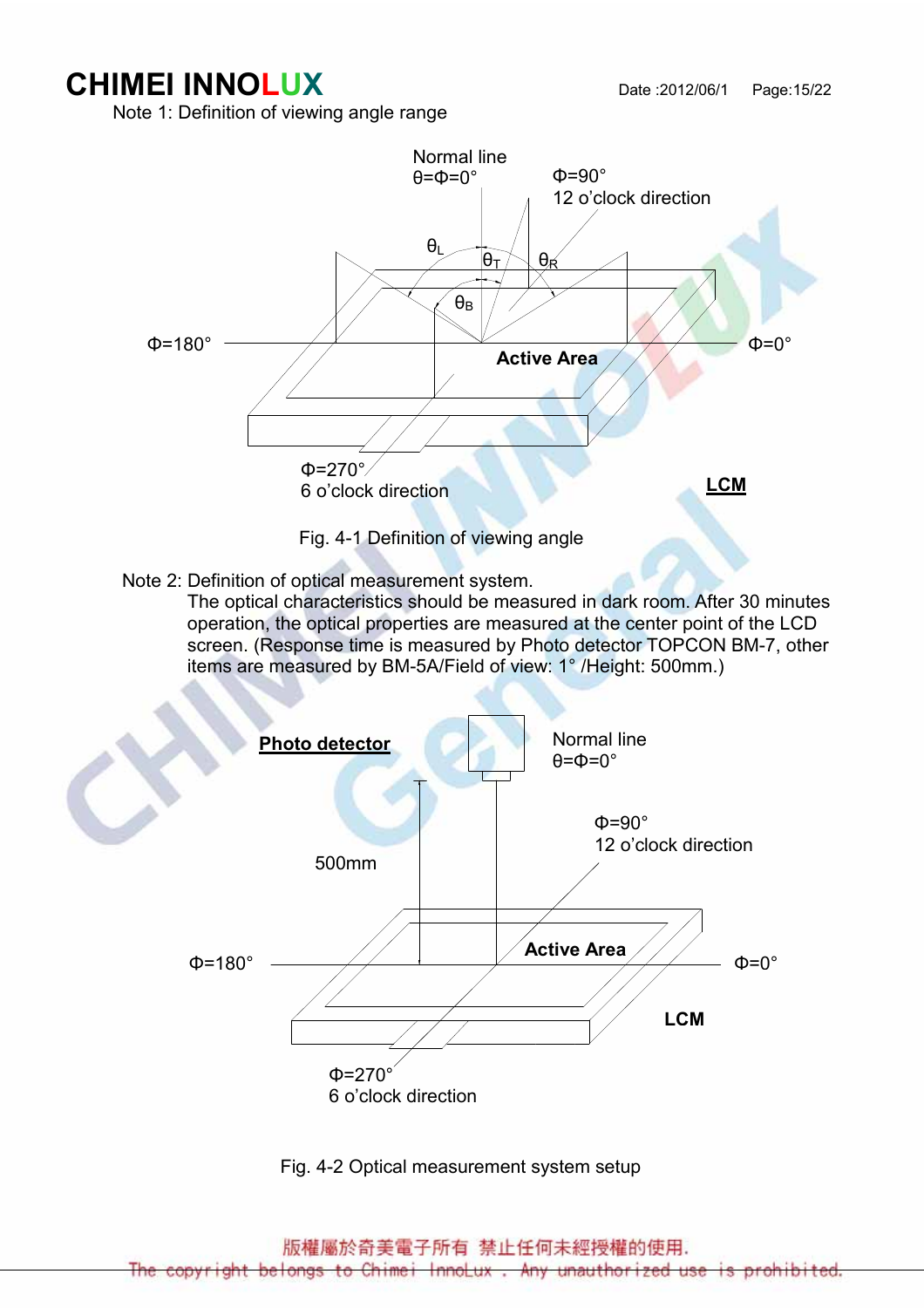# **CHIMEI INNOLUX** Date :2012/06/1 Page:15/22

Note 1: Definition of viewing angle range



Note 2: Definition of optical measurement system.

 The optical characteristics should be measured in dark room. After 30 minutes operation, the optical properties are measured at the center point of the LCD screen. (Response time is measured by Photo detector TOPCON BM-7, other items are measured by BM-5A/Field of view: 1° /Height: 500mm.)



Fig. 4-2 Optical measurement system setup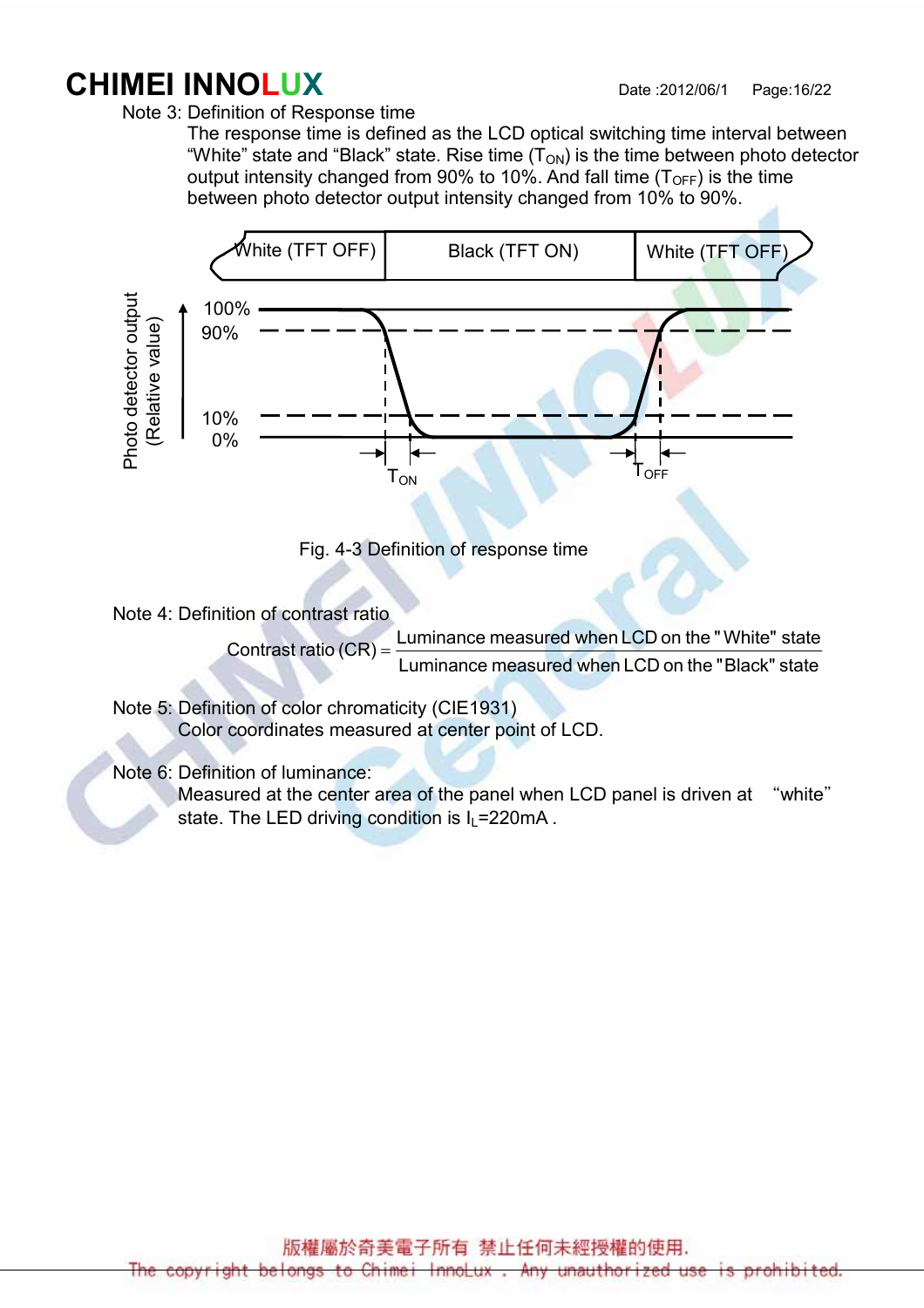# **CHIMEI INNOLUX** Date :2012/06/1 Page:16/22

Note 3: Definition of Response time

 The response time is defined as the LCD optical switching time interval between "White" state and "Black" state. Rise time  $(T_{ON})$  is the time between photo detector output intensity changed from 90% to 10%. And fall time  $(T<sub>OFF</sub>)$  is the time between photo detector output intensity changed from 10% to 90%.



Fig. 4-3 Definition of response time

Note 4: Definition of contrast ratio

Contrast ratio (CR) =  $\frac{201111212048242246241224122261122}{Luminance measured when LCD on the "Black" state"$ Luminance measured when LCD on the "White" state

 Note 5: Definition of color chromaticity (CIE1931) Color coordinates measured at center point of LCD.

Note 6: Definition of luminance:

Measured at the center area of the panel when LCD panel is driven at "white" state. The LED driving condition is  $I_1 = 220 \text{mA}$ .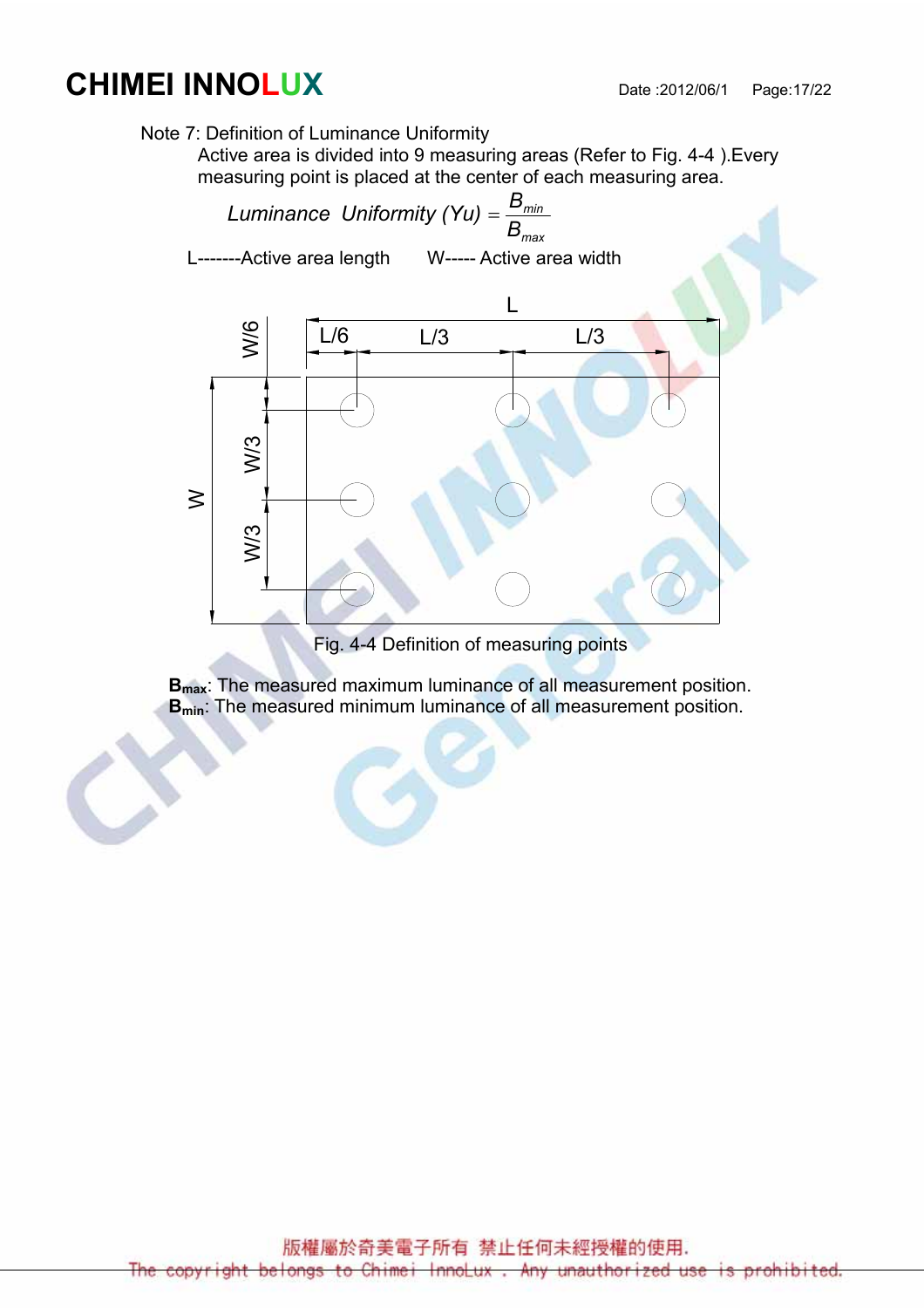# **CHIMEI INNOLUX** Date :2012/06/1 Page:17/22

Note 7: Definition of Luminance Uniformity

Active area is divided into 9 measuring areas (Refer to Fig. 4-4 ).Every measuring point is placed at the center of each measuring area.



Fig. 4-4 Definition of measuring points

B<sub>max</sub>: The measured maximum luminance of all measurement position. **B<sub>min</sub>:** The measured minimum luminance of all measurement position.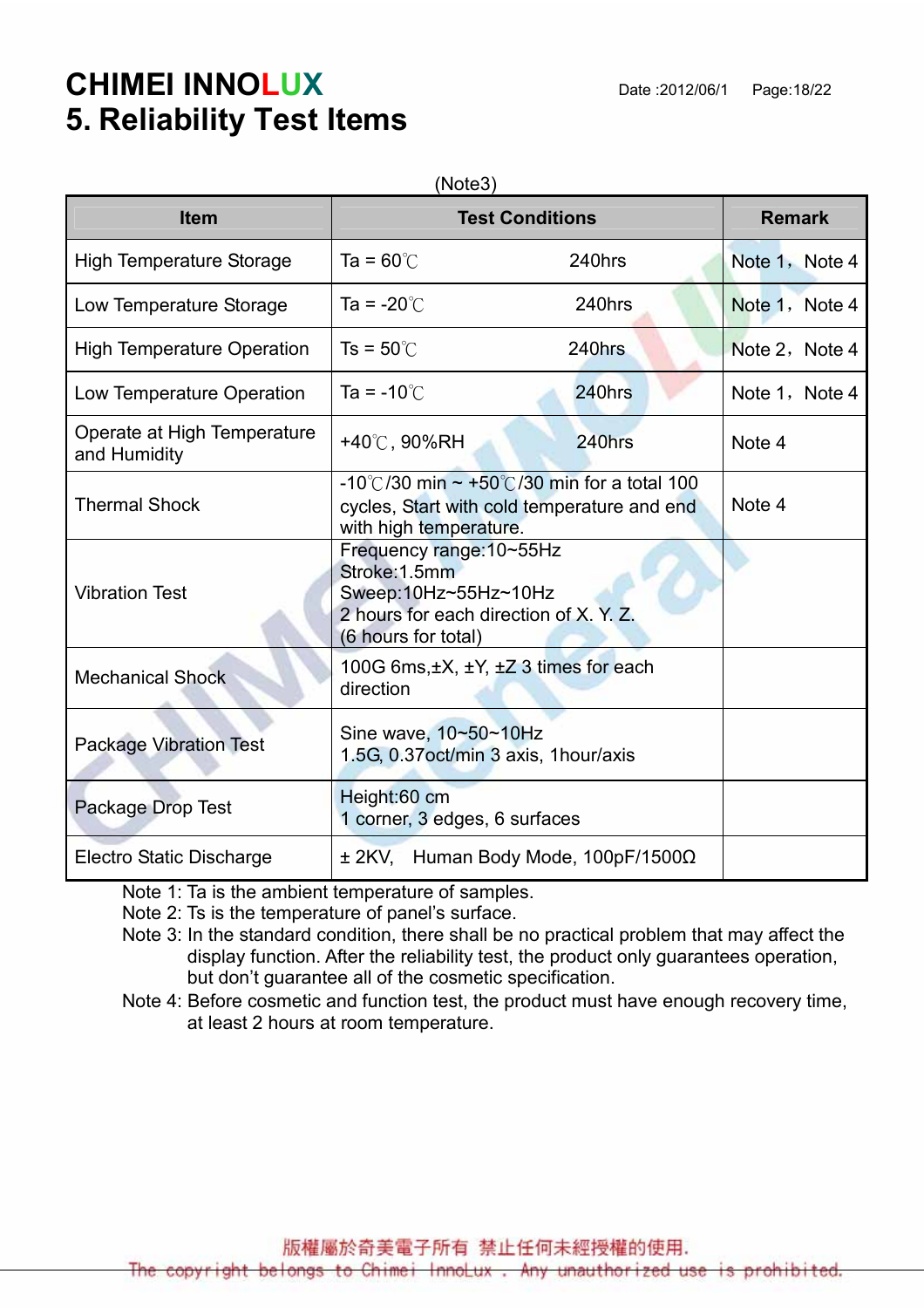# **CHIMEI INNOLUX** Date :2012/06/1 Page:18/22 5. Reliability Test Items

| <b>Item</b>                                 | <b>Remark</b>                                                                                                                      |        |                |
|---------------------------------------------|------------------------------------------------------------------------------------------------------------------------------------|--------|----------------|
|                                             | <b>Test Conditions</b>                                                                                                             |        |                |
| <b>High Temperature Storage</b>             | Ta = $60^{\circ}$ C                                                                                                                | 240hrs | Note 1, Note 4 |
| Low Temperature Storage                     | Ta = $-20^{\circ}$ C                                                                                                               | 240hrs | Note 1, Note 4 |
| <b>High Temperature Operation</b>           | $Ts = 50^{\circ}$                                                                                                                  | 240hrs | Note 2, Note 4 |
| Low Temperature Operation                   | Ta = $-10^{\circ}$ C                                                                                                               | 240hrs | Note 1, Note 4 |
| Operate at High Temperature<br>and Humidity | +40°C, 90%RH                                                                                                                       | 240hrs | Note 4         |
| <b>Thermal Shock</b>                        | -10°C/30 min ~ +50°C/30 min for a total 100<br>cycles, Start with cold temperature and end<br>with high temperature.               | Note 4 |                |
| <b>Vibration Test</b>                       | Frequency range: 10~55Hz<br>Stroke: 1.5mm<br>Sweep:10Hz~55Hz~10Hz<br>2 hours for each direction of X, Y, Z.<br>(6 hours for total) |        |                |
| <b>Mechanical Shock</b>                     | 100G 6ms, ±X, ±Y, ±Z 3 times for each<br>direction                                                                                 |        |                |
| <b>Package Vibration Test</b>               | Sine wave, 10~50~10Hz<br>1.5G, 0.37 oct/min 3 axis, 1 hour/axis                                                                    |        |                |
| Package Drop Test                           | Height:60 cm<br>1 corner, 3 edges, 6 surfaces                                                                                      |        |                |
| <b>Electro Static Discharge</b>             | $\pm$ 2KV, Human Body Mode, 100pF/1500 $\Omega$                                                                                    |        |                |

Note 1: Ta is the ambient temperature of samples.

Note 2: Ts is the temperature of panel's surface.

 Note 3: In the standard condition, there shall be no practical problem that may affect the display function. After the reliability test, the product only guarantees operation, but don't guarantee all of the cosmetic specification.

Note 4: Before cosmetic and function test, the product must have enough recovery time, at least 2 hours at room temperature.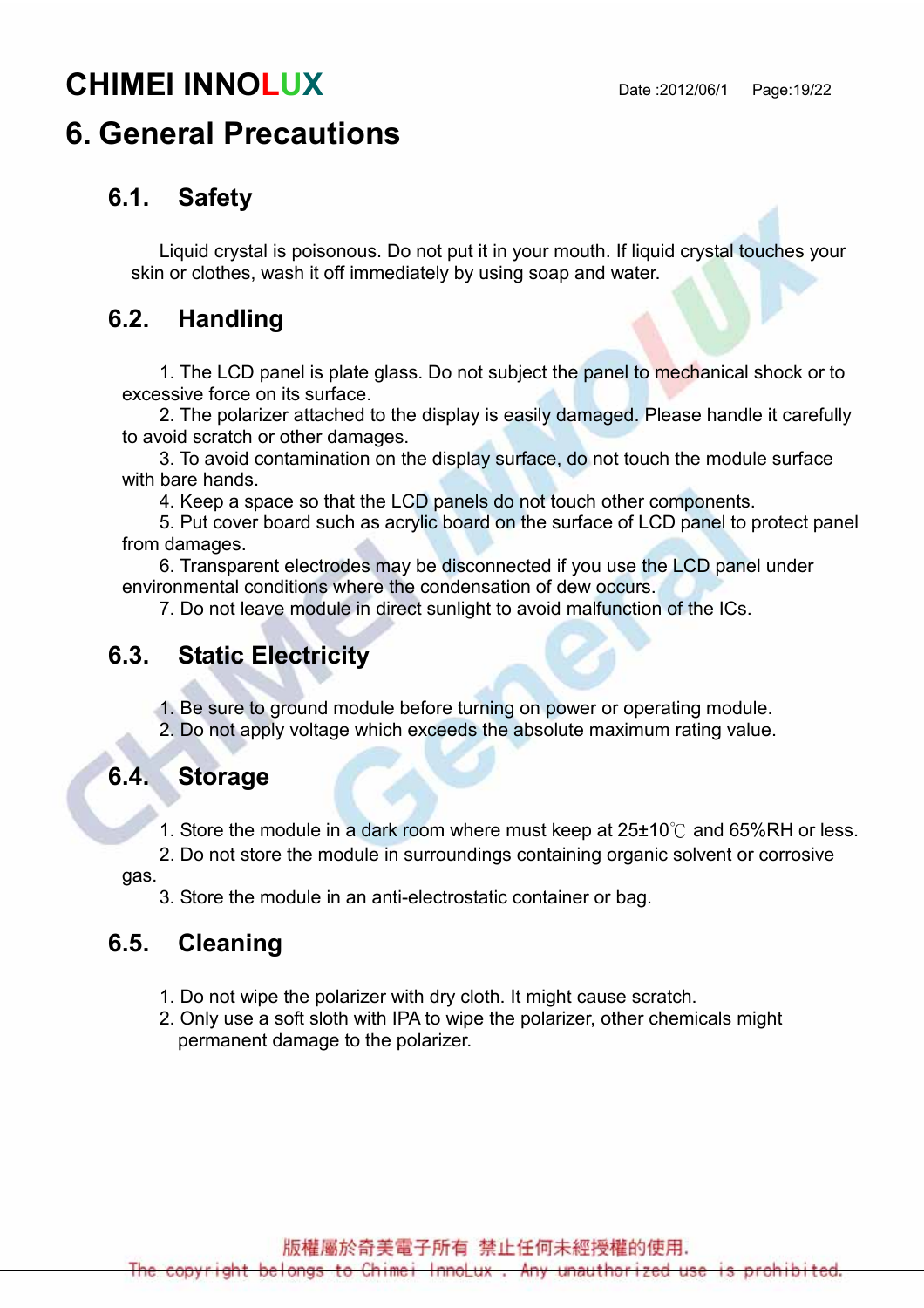# **CHIMEI INNOLUX** Date :2012/06/1 Page:19/22

# 6. General Precautions

#### 6.1. Safety

Liquid crystal is poisonous. Do not put it in your mouth. If liquid crystal touches your skin or clothes, wash it off immediately by using soap and water.

#### 6.2. Handling

1. The LCD panel is plate glass. Do not subject the panel to mechanical shock or to excessive force on its surface.

2. The polarizer attached to the display is easily damaged. Please handle it carefully to avoid scratch or other damages.

3. To avoid contamination on the display surface, do not touch the module surface with bare hands.

4. Keep a space so that the LCD panels do not touch other components.

5. Put cover board such as acrylic board on the surface of LCD panel to protect panel from damages.

6. Transparent electrodes may be disconnected if you use the LCD panel under environmental conditions where the condensation of dew occurs.

7. Do not leave module in direct sunlight to avoid malfunction of the ICs.

#### 6.3. Static Electricity

1. Be sure to ground module before turning on power or operating module.

2. Do not apply voltage which exceeds the absolute maximum rating value.

#### 6.4. Storage

1. Store the module in a dark room where must keep at 25±10℃ and 65%RH or less.

2. Do not store the module in surroundings containing organic solvent or corrosive

gas.

3. Store the module in an anti-electrostatic container or bag.

#### 6.5. Cleaning

- 1. Do not wipe the polarizer with dry cloth. It might cause scratch.
- 2. Only use a soft sloth with IPA to wipe the polarizer, other chemicals might permanent damage to the polarizer.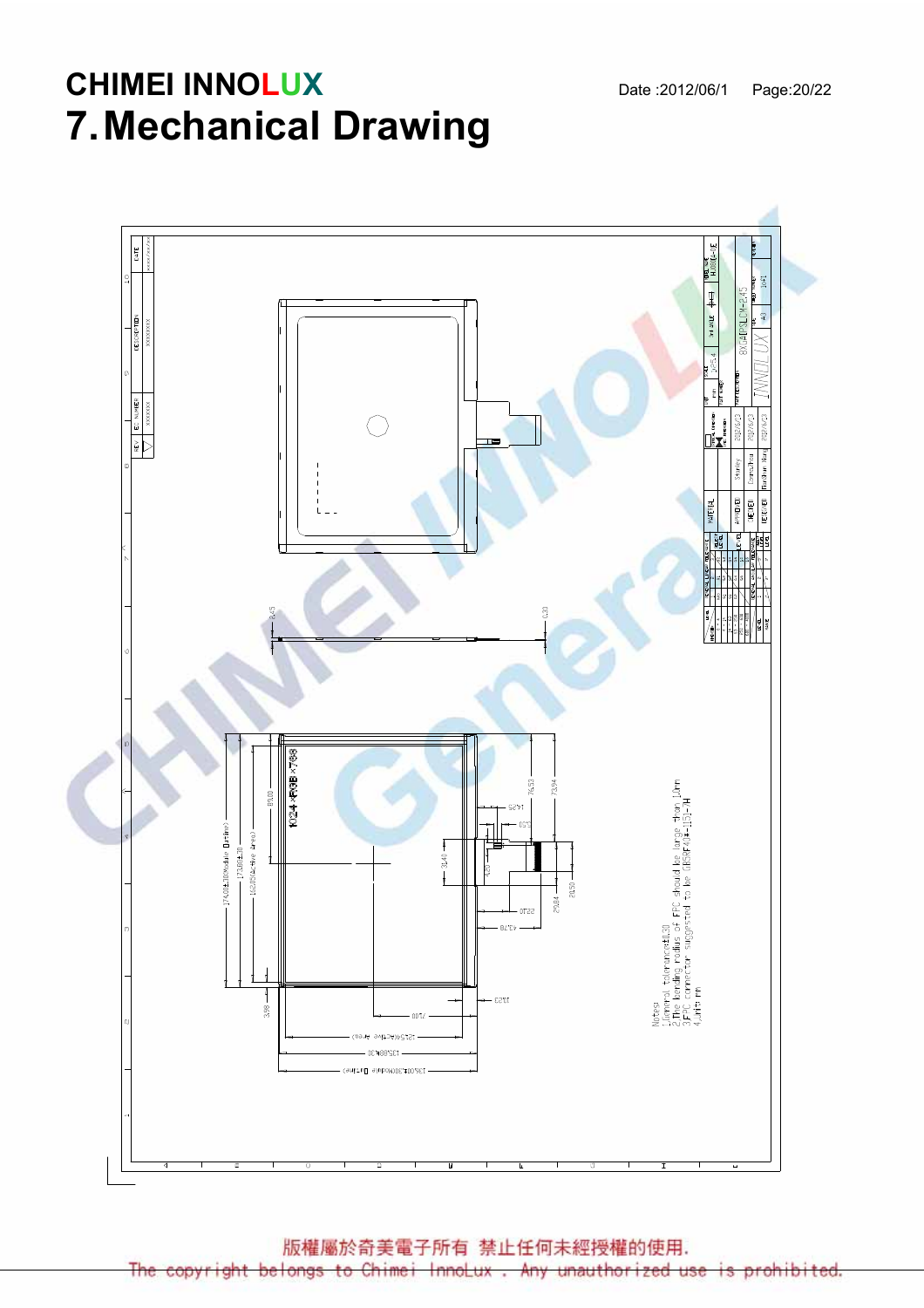# **CHIMEI INNOLUX** Date :2012/06/1 Page:20/22 7. Mechanical Drawing



版權屬於奇美電子所有 禁止任何未經授權的使用.

copyright belongs to Chimei InnoLux Any unauthorized use ohibited ١S  $Df$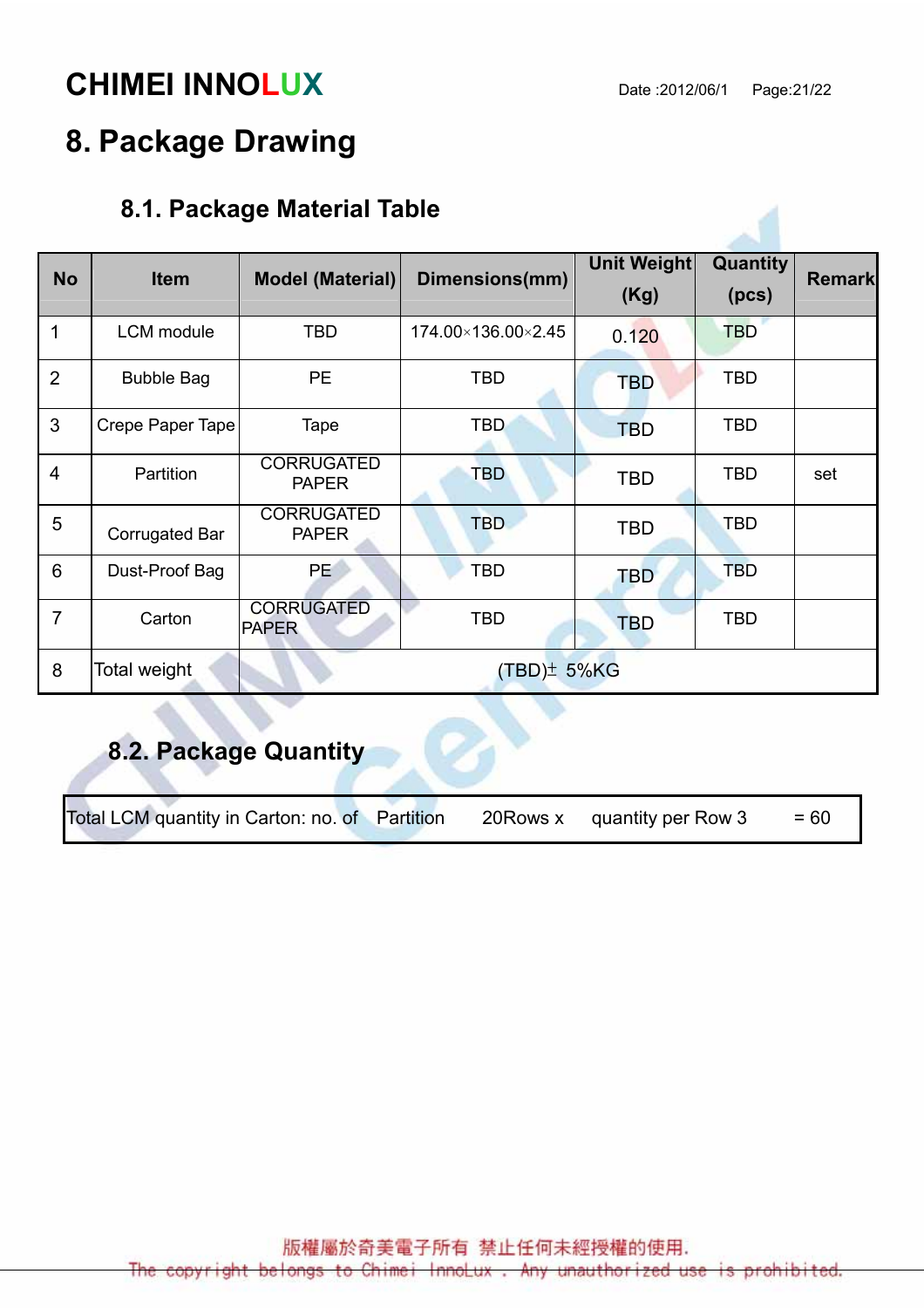# **CHIMEI INNOLUX** Date :2012/06/1 Page:21/22

# 8. Package Drawing

# 8.1. Package Material Table

| <b>No</b>      | <b>Item</b>           | <b>Model (Material)</b>           | Dimensions(mm)     | <b>Unit Weight</b><br>(Kg) | <b>Quantity</b><br>(pcs) | <b>Remark</b> |
|----------------|-----------------------|-----------------------------------|--------------------|----------------------------|--------------------------|---------------|
| 1              | <b>LCM</b> module     | <b>TBD</b>                        | 174.00×136.00×2.45 | 0.120                      | <b>TBD</b>               |               |
| $\overline{2}$ | <b>Bubble Bag</b>     | <b>PE</b>                         | <b>TBD</b>         | <b>TBD</b>                 | <b>TBD</b>               |               |
| 3              | Crepe Paper Tape      | Tape                              | <b>TBD</b>         | <b>TBD</b>                 | <b>TBD</b>               |               |
| $\overline{4}$ | Partition             | <b>CORRUGATED</b><br><b>PAPER</b> | <b>TBD</b>         | TBD                        | <b>TBD</b>               | set           |
| 5              | <b>Corrugated Bar</b> | <b>CORRUGATED</b><br><b>PAPER</b> | <b>TBD</b>         | <b>TBD</b>                 | <b>TBD</b>               |               |
| 6              | Dust-Proof Bag        | <b>PE</b>                         | <b>TBD</b>         | <b>TBD</b>                 | <b>TBD</b>               |               |
| $\overline{7}$ | Carton                | <b>CORRUGATED</b><br><b>PAPER</b> | <b>TBD</b>         | <b>TBD</b>                 | <b>TBD</b>               |               |
| 8              | Total weight          | $(TBD)^{\pm}$ 5%KG                |                    |                            |                          |               |

# 8.2. Package Quantity

Total LCM quantity in Carton: no. of Partition 20Rows x quantity per Row  $3 = 60$